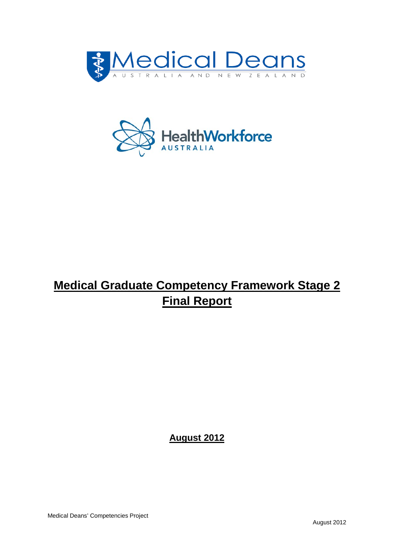



# **Medical Graduate Competency Framework Stage 2 Final Report**

**August 2012**

Medical Deans' Competencies Project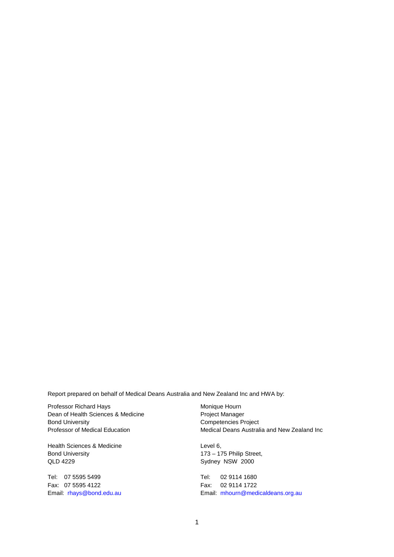Report prepared on behalf of Medical Deans Australia and New Zealand Inc and HWA by:

Professor Richard Hays Dean of Health Sciences & Medicine Bond University Professor of Medical Education

Health Sciences & Medicine Bond University QLD 4229

Tel: 07 5595 5499 Fax: 07 5595 4122 Email: [rhays@bond.edu.au](mailto:rhays@bond.edu.au) Monique Hourn Project Manager Competencies Project Medical Deans Australia and New Zealand Inc

Level 6, 173 – 175 Philip Street, Sydney NSW 2000

Tel: 02 9114 1680 Fax: 02 9114 1722 Email: [mhourn@medicaldeans.org.au](mailto:mhourn@medicaldeans.org.au)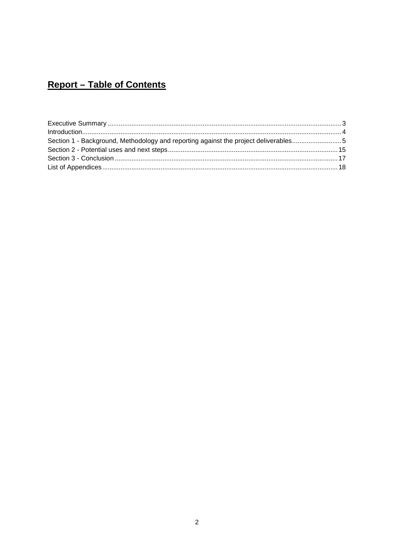## **Report - Table of Contents**

| Section 1 - Background, Methodology and reporting against the project deliverables |  |
|------------------------------------------------------------------------------------|--|
|                                                                                    |  |
|                                                                                    |  |
|                                                                                    |  |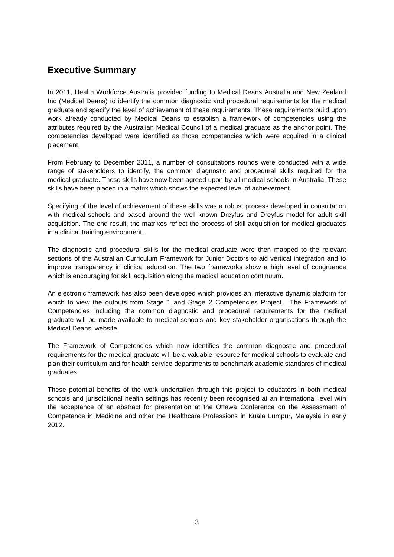## <span id="page-3-0"></span>**Executive Summary**

In 2011, Health Workforce Australia provided funding to Medical Deans Australia and New Zealand Inc (Medical Deans) to identify the common diagnostic and procedural requirements for the medical graduate and specify the level of achievement of these requirements. These requirements build upon work already conducted by Medical Deans to establish a framework of competencies using the attributes required by the Australian Medical Council of a medical graduate as the anchor point. The competencies developed were identified as those competencies which were acquired in a clinical placement.

From February to December 2011, a number of consultations rounds were conducted with a wide range of stakeholders to identify, the common diagnostic and procedural skills required for the medical graduate. These skills have now been agreed upon by all medical schools in Australia. These skills have been placed in a matrix which shows the expected level of achievement.

Specifying of the level of achievement of these skills was a robust process developed in consultation with medical schools and based around the well known Dreyfus and Dreyfus model for adult skill acquisition. The end result, the matrixes reflect the process of skill acquisition for medical graduates in a clinical training environment.

The diagnostic and procedural skills for the medical graduate were then mapped to the relevant sections of the Australian Curriculum Framework for Junior Doctors to aid vertical integration and to improve transparency in clinical education. The two frameworks show a high level of congruence which is encouraging for skill acquisition along the medical education continuum.

An electronic framework has also been developed which provides an interactive dynamic platform for which to view the outputs from Stage 1 and Stage 2 Competencies Project. The Framework of Competencies including the common diagnostic and procedural requirements for the medical graduate will be made available to medical schools and key stakeholder organisations through the Medical Deans' website.

The Framework of Competencies which now identifies the common diagnostic and procedural requirements for the medical graduate will be a valuable resource for medical schools to evaluate and plan their curriculum and for health service departments to benchmark academic standards of medical graduates.

These potential benefits of the work undertaken through this project to educators in both medical schools and jurisdictional health settings has recently been recognised at an international level with the acceptance of an abstract for presentation at the Ottawa Conference on the Assessment of Competence in Medicine and other the Healthcare Professions in Kuala Lumpur, Malaysia in early 2012.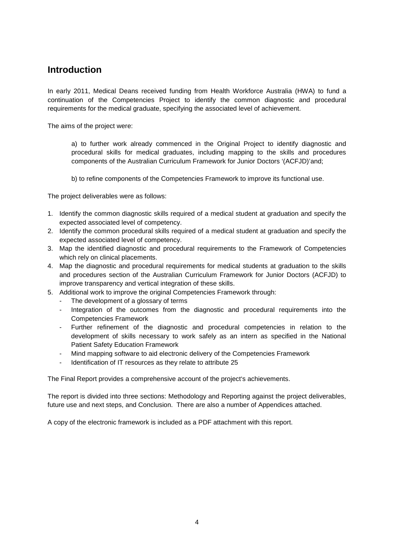## <span id="page-4-0"></span>**Introduction**

In early 2011, Medical Deans received funding from Health Workforce Australia (HWA) to fund a continuation of the Competencies Project to identify the common diagnostic and procedural requirements for the medical graduate, specifying the associated level of achievement.

The aims of the project were:

a) to further work already commenced in the Original Project to identify diagnostic and procedural skills for medical graduates, including mapping to the skills and procedures components of the Australian Curriculum Framework for Junior Doctors '(ACFJD)'and;

b) to refine components of the Competencies Framework to improve its functional use.

The project deliverables were as follows:

- 1. Identify the common diagnostic skills required of a medical student at graduation and specify the expected associated level of competency.
- 2. Identify the common procedural skills required of a medical student at graduation and specify the expected associated level of competency.
- 3. Map the identified diagnostic and procedural requirements to the Framework of Competencies which rely on clinical placements.
- 4. Map the diagnostic and procedural requirements for medical students at graduation to the skills and procedures section of the Australian Curriculum Framework for Junior Doctors (ACFJD) to improve transparency and vertical integration of these skills.
- 5. Additional work to improve the original Competencies Framework through:
	- The development of a glossary of terms
	- Integration of the outcomes from the diagnostic and procedural requirements into the Competencies Framework
	- Further refinement of the diagnostic and procedural competencies in relation to the development of skills necessary to work safely as an intern as specified in the National Patient Safety Education Framework
	- Mind mapping software to aid electronic delivery of the Competencies Framework
	- Identification of IT resources as they relate to attribute 25

The Final Report provides a comprehensive account of the project's achievements.

The report is divided into three sections: Methodology and Reporting against the project deliverables, future use and next steps, and Conclusion. There are also a number of Appendices attached.

A copy of the electronic framework is included as a PDF attachment with this report.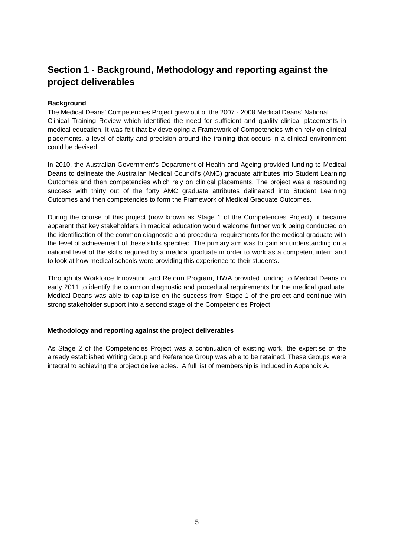## <span id="page-5-0"></span>**Section 1 - Background, Methodology and reporting against the project deliverables**

#### **Background**

The Medical Deans' Competencies Project grew out of the 2007 - 2008 Medical Deans' National Clinical Training Review which identified the need for sufficient and quality clinical placements in medical education. It was felt that by developing a Framework of Competencies which rely on clinical placements, a level of clarity and precision around the training that occurs in a clinical environment could be devised.

In 2010, the Australian Government's Department of Health and Ageing provided funding to Medical Deans to delineate the Australian Medical Council's (AMC) graduate attributes into Student Learning Outcomes and then competencies which rely on clinical placements. The project was a resounding success with thirty out of the forty AMC graduate attributes delineated into Student Learning Outcomes and then competencies to form the Framework of Medical Graduate Outcomes.

During the course of this project (now known as Stage 1 of the Competencies Project), it became apparent that key stakeholders in medical education would welcome further work being conducted on the identification of the common diagnostic and procedural requirements for the medical graduate with the level of achievement of these skills specified. The primary aim was to gain an understanding on a national level of the skills required by a medical graduate in order to work as a competent intern and to look at how medical schools were providing this experience to their students.

Through its Workforce Innovation and Reform Program, HWA provided funding to Medical Deans in early 2011 to identify the common diagnostic and procedural requirements for the medical graduate. Medical Deans was able to capitalise on the success from Stage 1 of the project and continue with strong stakeholder support into a second stage of the Competencies Project.

#### **Methodology and reporting against the project deliverables**

As Stage 2 of the Competencies Project was a continuation of existing work, the expertise of the already established Writing Group and Reference Group was able to be retained. These Groups were integral to achieving the project deliverables. A full list of membership is included in Appendix A.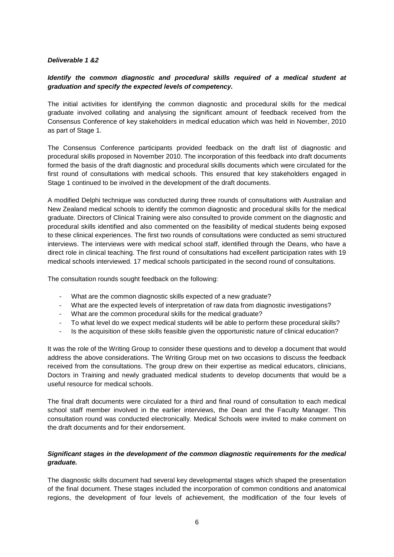#### *Deliverable 1 &2*

#### *Identify the common diagnostic and procedural skills required of a medical student at graduation and specify the expected levels of competency.*

The initial activities for identifying the common diagnostic and procedural skills for the medical graduate involved collating and analysing the significant amount of feedback received from the Consensus Conference of key stakeholders in medical education which was held in November, 2010 as part of Stage 1.

The Consensus Conference participants provided feedback on the draft list of diagnostic and procedural skills proposed in November 2010. The incorporation of this feedback into draft documents formed the basis of the draft diagnostic and procedural skills documents which were circulated for the first round of consultations with medical schools. This ensured that key stakeholders engaged in Stage 1 continued to be involved in the development of the draft documents.

A modified Delphi technique was conducted during three rounds of consultations with Australian and New Zealand medical schools to identify the common diagnostic and procedural skills for the medical graduate. Directors of Clinical Training were also consulted to provide comment on the diagnostic and procedural skills identified and also commented on the feasibility of medical students being exposed to these clinical experiences. The first two rounds of consultations were conducted as semi structured interviews. The interviews were with medical school staff, identified through the Deans, who have a direct role in clinical teaching. The first round of consultations had excellent participation rates with 19 medical schools interviewed. 17 medical schools participated in the second round of consultations.

The consultation rounds sought feedback on the following:

- What are the common diagnostic skills expected of a new graduate?
- What are the expected levels of interpretation of raw data from diagnostic investigations?
- What are the common procedural skills for the medical graduate?
- To what level do we expect medical students will be able to perform these procedural skills?
- Is the acquisition of these skills feasible given the opportunistic nature of clinical education?

It was the role of the Writing Group to consider these questions and to develop a document that would address the above considerations. The Writing Group met on two occasions to discuss the feedback received from the consultations. The group drew on their expertise as medical educators, clinicians, Doctors in Training and newly graduated medical students to develop documents that would be a useful resource for medical schools.

The final draft documents were circulated for a third and final round of consultation to each medical school staff member involved in the earlier interviews, the Dean and the Faculty Manager. This consultation round was conducted electronically. Medical Schools were invited to make comment on the draft documents and for their endorsement.

#### *Significant stages in the development of the common diagnostic requirements for the medical graduate.*

The diagnostic skills document had several key developmental stages which shaped the presentation of the final document. These stages included the incorporation of common conditions and anatomical regions, the development of four levels of achievement, the modification of the four levels of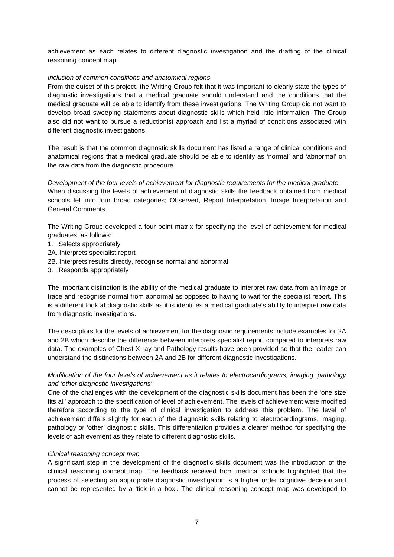achievement as each relates to different diagnostic investigation and the drafting of the clinical reasoning concept map.

#### *Inclusion of common conditions and anatomical regions*

From the outset of this project, the Writing Group felt that it was important to clearly state the types of diagnostic investigations that a medical graduate should understand and the conditions that the medical graduate will be able to identify from these investigations. The Writing Group did not want to develop broad sweeping statements about diagnostic skills which held little information. The Group also did not want to pursue a reductionist approach and list a myriad of conditions associated with different diagnostic investigations.

The result is that the common diagnostic skills document has listed a range of clinical conditions and anatomical regions that a medical graduate should be able to identify as 'normal' and 'abnormal' on the raw data from the diagnostic procedure.

*Development of the four levels of achievement for diagnostic requirements for the medical graduate.*  When discussing the levels of achievement of diagnostic skills the feedback obtained from medical schools fell into four broad categories; Observed, Report Interpretation, Image Interpretation and General Comments

The Writing Group developed a four point matrix for specifying the level of achievement for medical graduates, as follows:

- 1. Selects appropriately
- 2A. Interprets specialist report
- 2B. Interprets results directly, recognise normal and abnormal
- 3. Responds appropriately

The important distinction is the ability of the medical graduate to interpret raw data from an image or trace and recognise normal from abnormal as opposed to having to wait for the specialist report. This is a different look at diagnostic skills as it is identifies a medical graduate's ability to interpret raw data from diagnostic investigations.

The descriptors for the levels of achievement for the diagnostic requirements include examples for 2A and 2B which describe the difference between interprets specialist report compared to interprets raw data. The examples of Chest X-ray and Pathology results have been provided so that the reader can understand the distinctions between 2A and 2B for different diagnostic investigations.

#### *Modification of the four levels of achievement as it relates to electrocardiograms, imaging, pathology and 'other diagnostic investigations'*

One of the challenges with the development of the diagnostic skills document has been the 'one size fits all' approach to the specification of level of achievement. The levels of achievement were modified therefore according to the type of clinical investigation to address this problem. The level of achievement differs slightly for each of the diagnostic skills relating to electrocardiograms, imaging, pathology or 'other' diagnostic skills. This differentiation provides a clearer method for specifying the levels of achievement as they relate to different diagnostic skills.

#### *Clinical reasoning concept map*

A significant step in the development of the diagnostic skills document was the introduction of the clinical reasoning concept map. The feedback received from medical schools highlighted that the process of selecting an appropriate diagnostic investigation is a higher order cognitive decision and cannot be represented by a 'tick in a box'. The clinical reasoning concept map was developed to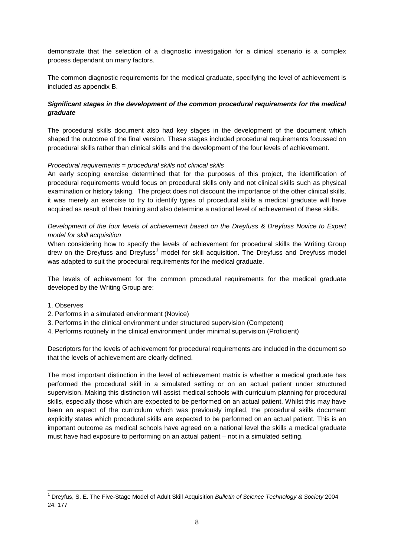demonstrate that the selection of a diagnostic investigation for a clinical scenario is a complex process dependant on many factors.

The common diagnostic requirements for the medical graduate, specifying the level of achievement is included as appendix B.

#### *Significant stages in the development of the common procedural requirements for the medical graduate*

The procedural skills document also had key stages in the development of the document which shaped the outcome of the final version. These stages included procedural requirements focussed on procedural skills rather than clinical skills and the development of the four levels of achievement.

#### *Procedural requirements = procedural skills not clinical skills*

An early scoping exercise determined that for the purposes of this project, the identification of procedural requirements would focus on procedural skills only and not clinical skills such as physical examination or history taking. The project does not discount the importance of the other clinical skills, it was merely an exercise to try to identify types of procedural skills a medical graduate will have acquired as result of their training and also determine a national level of achievement of these skills.

#### *Development of the four levels of achievement based on the Dreyfuss & Dreyfuss Novice to Expert model for skill acquisition*

When considering how to specify the levels of achievement for procedural skills the Writing Group drew on the Dreyfuss and Dreyfuss<sup>[1](#page-8-0)</sup> model for skill acquisition. The Dreyfuss and Dreyfuss model was adapted to suit the procedural requirements for the medical graduate.

The levels of achievement for the common procedural requirements for the medical graduate developed by the Writing Group are:

- 1. Observes
- 2. Performs in a simulated environment (Novice)
- 3. Performs in the clinical environment under structured supervision (Competent)
- 4. Performs routinely in the clinical environment under minimal supervision (Proficient)

Descriptors for the levels of achievement for procedural requirements are included in the document so that the levels of achievement are clearly defined.

The most important distinction in the level of achievement matrix is whether a medical graduate has performed the procedural skill in a simulated setting or on an actual patient under structured supervision. Making this distinction will assist medical schools with curriculum planning for procedural skills, especially those which are expected to be performed on an actual patient. Whilst this may have been an aspect of the curriculum which was previously implied, the procedural skills document explicitly states which procedural skills are expected to be performed on an actual patient. This is an important outcome as medical schools have agreed on a national level the skills a medical graduate must have had exposure to performing on an actual patient – not in a simulated setting.

<span id="page-8-0"></span> <sup>1</sup> Dreyfus, S. E. The Five-Stage Model of Adult Skill Acquisition *Bulletin of Science Technology & Society* <sup>2004</sup> 24: 177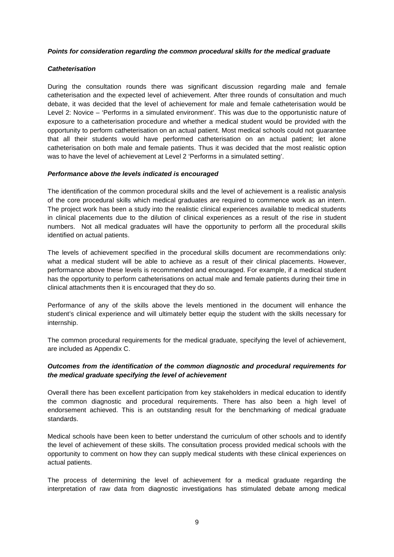#### *Points for consideration regarding the common procedural skills for the medical graduate*

#### *Catheterisation*

During the consultation rounds there was significant discussion regarding male and female catheterisation and the expected level of achievement. After three rounds of consultation and much debate, it was decided that the level of achievement for male and female catheterisation would be Level 2: Novice – 'Performs in a simulated environment'. This was due to the opportunistic nature of exposure to a catheterisation procedure and whether a medical student would be provided with the opportunity to perform catheterisation on an actual patient. Most medical schools could not guarantee that all their students would have performed catheterisation on an actual patient; let alone catheterisation on both male and female patients. Thus it was decided that the most realistic option was to have the level of achievement at Level 2 'Performs in a simulated setting'.

#### *Performance above the levels indicated is encouraged*

The identification of the common procedural skills and the level of achievement is a realistic analysis of the core procedural skills which medical graduates are required to commence work as an intern. The project work has been a study into the realistic clinical experiences available to medical students in clinical placements due to the dilution of clinical experiences as a result of the rise in student numbers. Not all medical graduates will have the opportunity to perform all the procedural skills identified on actual patients.

The levels of achievement specified in the procedural skills document are recommendations only: what a medical student will be able to achieve as a result of their clinical placements. However, performance above these levels is recommended and encouraged. For example, if a medical student has the opportunity to perform catheterisations on actual male and female patients during their time in clinical attachments then it is encouraged that they do so.

Performance of any of the skills above the levels mentioned in the document will enhance the student's clinical experience and will ultimately better equip the student with the skills necessary for internship.

The common procedural requirements for the medical graduate, specifying the level of achievement, are included as Appendix C.

#### *Outcomes from the identification of the common diagnostic and procedural requirements for the medical graduate specifying the level of achievement*

Overall there has been excellent participation from key stakeholders in medical education to identify the common diagnostic and procedural requirements. There has also been a high level of endorsement achieved. This is an outstanding result for the benchmarking of medical graduate standards.

Medical schools have been keen to better understand the curriculum of other schools and to identify the level of achievement of these skills. The consultation process provided medical schools with the opportunity to comment on how they can supply medical students with these clinical experiences on actual patients.

The process of determining the level of achievement for a medical graduate regarding the interpretation of raw data from diagnostic investigations has stimulated debate among medical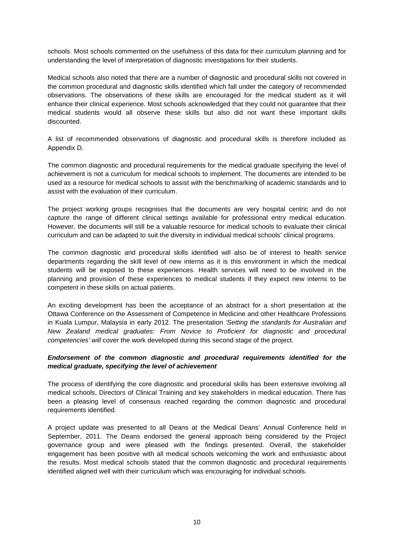schools. Most schools commented on the usefulness of this data for their curriculum planning and for understanding the level of interpretation of diagnostic investigations for their students.

Medical schools also noted that there are a number of diagnostic and procedural skills not covered in the common procedural and diagnostic skills identified which fall under the category of recommended observations. The observations of these skills are encouraged for the medical student as it will enhance their clinical experience. Most schools acknowledged that they could not guarantee that their medical students would all observe these skills but also did not want these important skills discounted.

A list of recommended observations of diagnostic and procedural skills is therefore included as Appendix D.

The common diagnostic and procedural requirements for the medical graduate specifying the level of achievement is not a curriculum for medical schools to implement. The documents are intended to be used as a resource for medical schools to assist with the benchmarking of academic standards and to assist with the evaluation of their curriculum.

The project working groups recognises that the documents are very hospital centric and do not capture the range of different clinical settings available for professional entry medical education. However, the documents will still be a valuable resource for medical schools to evaluate their clinical curriculum and can be adapted to suit the diversity in individual medical schools' clinical programs.

The common diagnostic and procedural skills identified will also be of interest to health service departments regarding the skill level of new interns as it is this environment in which the medical students will be exposed to these experiences. Health services will need to be involved in the planning and provision of these experiences to medical students if they expect new interns to be competent in these skills on actual patients.

An exciting development has been the acceptance of an abstract for a short presentation at the Ottawa Conference on the Assessment of Competence in Medicine and other Healthcare Professions in Kuala Lumpur, Malaysia in early 2012. The presentation *'Setting the standards for Australian and New Zealand medical graduates: From Novice to Proficient for diagnostic and procedural competencies' will* cover the work developed during this second stage of the project.

#### *Endorsement of the common diagnostic and procedural requirements identified for the medical graduate, specifying the level of achievement*

The process of identifying the core diagnostic and procedural skills has been extensive involving all medical schools, Directors of Clinical Training and key stakeholders in medical education. There has been a pleasing level of consensus reached regarding the common diagnostic and procedural requirements identified.

A project update was presented to all Deans at the Medical Deans' Annual Conference held in September, 2011. The Deans endorsed the general approach being considered by the Project governance group and were pleased with the findings presented. Overall, the stakeholder engagement has been positive with all medical schools welcoming the work and enthusiastic about the results. Most medical schools stated that the common diagnostic and procedural requirements identified aligned well with their curriculum which was encouraging for individual schools.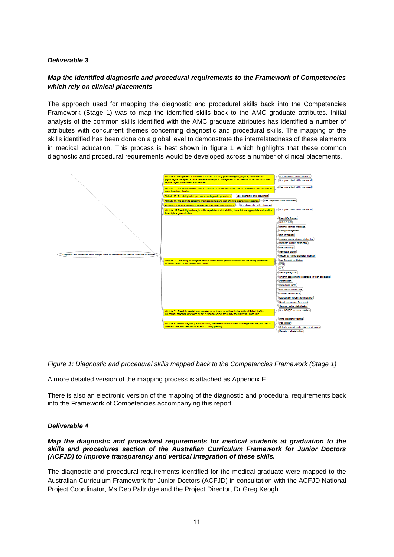#### *Deliverable 3*

### *Map the identified diagnostic and procedural requirements to the Framework of Competencies which rely on clinical placements*

The approach used for mapping the diagnostic and procedural skills back into the Competencies Framework (Stage 1) was to map the identified skills back to the AMC graduate attributes. Initial analysis of the common skills identified with the AMC graduate attributes has identified a number of attributes with concurrent themes concerning diagnostic and procedural skills. The mapping of the skills identified has been done on a global level to demonstrate the interrelatedness of these elements in medical education. This process is best shown in figure 1 which highlights that these common diagnostic and procedural requirements would be developed across a number of clinical placements.



*Figure 1: Diagnostic and procedural skills mapped back to the Competencies Framework (Stage 1)*

A more detailed version of the mapping process is attached as Appendix E.

There is also an electronic version of the mapping of the diagnostic and procedural requirements back into the Framework of Competencies accompanying this report.

#### *Deliverable 4*

#### *Map the diagnostic and procedural requirements for medical students at graduation to the skills and procedures section of the Australian Curriculum Framework for Junior Doctors (ACFJD) to improve transparency and vertical integration of these skills.*

The diagnostic and procedural requirements identified for the medical graduate were mapped to the Australian Curriculum Framework for Junior Doctors (ACFJD) in consultation with the ACFJD National Project Coordinator, Ms Deb Paltridge and the Project Director, Dr Greg Keogh.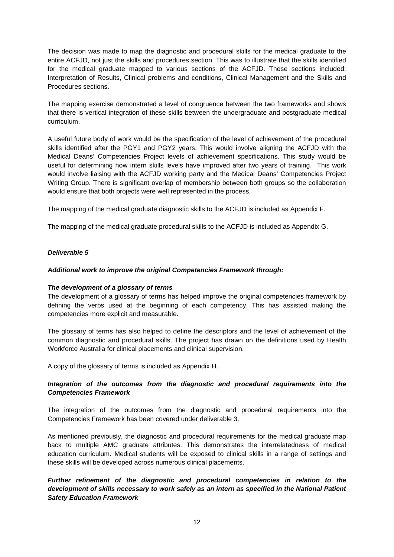The decision was made to map the diagnostic and procedural skills for the medical graduate to the entire ACFJD, not just the skills and procedures section. This was to illustrate that the skills identified for the medical graduate mapped to various sections of the ACFJD. These sections included; Interpretation of Results, Clinical problems and conditions, Clinical Management and the Skills and Procedures sections.

The mapping exercise demonstrated a level of congruence between the two frameworks and shows that there is vertical integration of these skills between the undergraduate and postgraduate medical curriculum.

A useful future body of work would be the specification of the level of achievement of the procedural skills identified after the PGY1 and PGY2 years. This would involve aligning the ACFJD with the Medical Deans' Competencies Project levels of achievement specifications. This study would be useful for determining how intern skills levels have improved after two years of training. This work would involve liaising with the ACFJD working party and the Medical Deans' Competencies Project Writing Group. There is significant overlap of membership between both groups so the collaboration would ensure that both projects were well represented in the process.

The mapping of the medical graduate diagnostic skills to the ACFJD is included as Appendix F.

The mapping of the medical graduate procedural skills to the ACFJD is included as Appendix G.

#### *Deliverable 5*

#### *Additional work to improve the original Competencies Framework through:*

#### *The development of a glossary of terms*

The development of a glossary of terms has helped improve the original competencies framework by defining the verbs used at the beginning of each competency. This has assisted making the competencies more explicit and measurable.

The glossary of terms has also helped to define the descriptors and the level of achievement of the common diagnostic and procedural skills. The project has drawn on the definitions used by Health Workforce Australia for clinical placements and clinical supervision.

A copy of the glossary of terms is included as Appendix H.

#### *Integration of the outcomes from the diagnostic and procedural requirements into the Competencies Framework*

The integration of the outcomes from the diagnostic and procedural requirements into the Competencies Framework has been covered under deliverable 3.

As mentioned previously, the diagnostic and procedural requirements for the medical graduate map back to multiple AMC graduate attributes. This demonstrates the interrelatedness of medical education curriculum. Medical students will be exposed to clinical skills in a range of settings and these skills will be developed across numerous clinical placements.

*Further refinement of the diagnostic and procedural competencies in relation to the development of skills necessary to work safely as an intern as specified in the National Patient Safety Education Framework*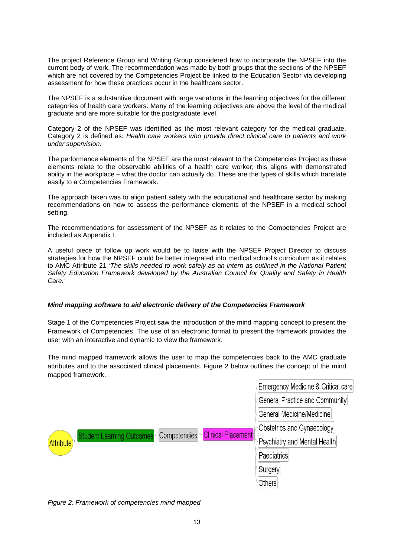The project Reference Group and Writing Group considered how to incorporate the NPSEF into the current body of work. The recommendation was made by both groups that the sections of the NPSEF which are not covered by the Competencies Project be linked to the Education Sector via developing assessment for how these practices occur in the healthcare sector.

The NPSEF is a substantive document with large variations in the learning objectives for the different categories of health care workers. Many of the learning objectives are above the level of the medical graduate and are more suitable for the postgraduate level.

Category 2 of the NPSEF was identified as the most relevant category for the medical graduate. Category 2 is defined as: *Health care workers who provide direct clinical care to patients and work under supervision.* 

The performance elements of the NPSEF are the most relevant to the Competencies Project as these elements relate to the observable abilities of a health care worker; this aligns with demonstrated ability in the workplace – what the doctor can actually do. These are the types of skills which translate easily to a Competencies Framework.

The approach taken was to align patient safety with the educational and healthcare sector by making recommendations on how to assess the performance elements of the NPSEF in a medical school setting.

The recommendations for assessment of the NPSEF as it relates to the Competencies Project are included as Appendix I.

A useful piece of follow up work would be to liaise with the NPSEF Project Director to discuss strategies for how the NPSEF could be better integrated into medical school's curriculum as it relates to AMC Attribute 21 *'The skills needed to work safely as an intern as outlined in the National Patient Safety Education Framework developed by the Australian Council for Quality and Safety in Health Care.'*

#### *Mind mapping software to aid electronic delivery of the Competencies Framework*

Stage 1 of the Competencies Project saw the introduction of the mind mapping concept to present the Framework of Competencies. The use of an electronic format to present the framework provides the user with an interactive and dynamic to view the framework.

The mind mapped framework allows the user to map the competencies back to the AMC graduate attributes and to the associated clinical placements. Figure 2 below outlines the concept of the mind mapped framework.



*Figure 2: Framework of competencies mind mapped*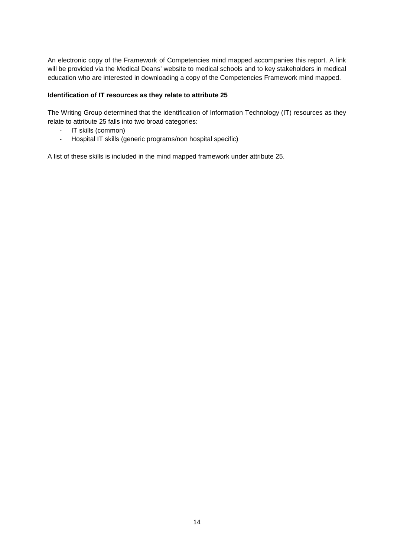An electronic copy of the Framework of Competencies mind mapped accompanies this report. A link will be provided via the Medical Deans' website to medical schools and to key stakeholders in medical education who are interested in downloading a copy of the Competencies Framework mind mapped.

#### **Identification of IT resources as they relate to attribute 25**

The Writing Group determined that the identification of Information Technology (IT) resources as they relate to attribute 25 falls into two broad categories:

- IT skills (common)
- Hospital IT skills (generic programs/non hospital specific)

A list of these skills is included in the mind mapped framework under attribute 25.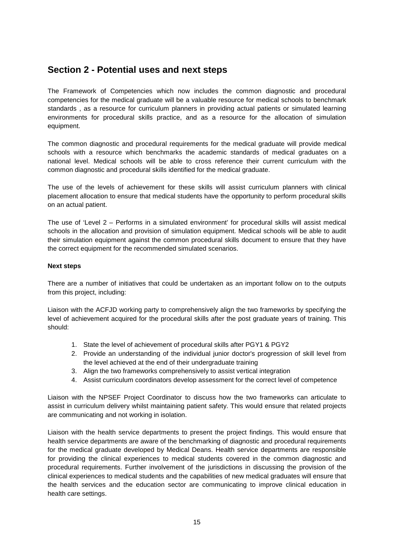## <span id="page-15-0"></span>**Section 2 - Potential uses and next steps**

The Framework of Competencies which now includes the common diagnostic and procedural competencies for the medical graduate will be a valuable resource for medical schools to benchmark standards , as a resource for curriculum planners in providing actual patients or simulated learning environments for procedural skills practice, and as a resource for the allocation of simulation equipment.

The common diagnostic and procedural requirements for the medical graduate will provide medical schools with a resource which benchmarks the academic standards of medical graduates on a national level. Medical schools will be able to cross reference their current curriculum with the common diagnostic and procedural skills identified for the medical graduate.

The use of the levels of achievement for these skills will assist curriculum planners with clinical placement allocation to ensure that medical students have the opportunity to perform procedural skills on an actual patient.

The use of 'Level 2 – Performs in a simulated environment' for procedural skills will assist medical schools in the allocation and provision of simulation equipment. Medical schools will be able to audit their simulation equipment against the common procedural skills document to ensure that they have the correct equipment for the recommended simulated scenarios.

#### **Next steps**

There are a number of initiatives that could be undertaken as an important follow on to the outputs from this project, including:

Liaison with the ACFJD working party to comprehensively align the two frameworks by specifying the level of achievement acquired for the procedural skills after the post graduate years of training. This should:

- 1. State the level of achievement of procedural skills after PGY1 & PGY2
- 2. Provide an understanding of the individual junior doctor's progression of skill level from the level achieved at the end of their undergraduate training
- 3. Align the two frameworks comprehensively to assist vertical integration
- 4. Assist curriculum coordinators develop assessment for the correct level of competence

Liaison with the NPSEF Project Coordinator to discuss how the two frameworks can articulate to assist in curriculum delivery whilst maintaining patient safety. This would ensure that related projects are communicating and not working in isolation.

Liaison with the health service departments to present the project findings. This would ensure that health service departments are aware of the benchmarking of diagnostic and procedural requirements for the medical graduate developed by Medical Deans. Health service departments are responsible for providing the clinical experiences to medical students covered in the common diagnostic and procedural requirements. Further involvement of the jurisdictions in discussing the provision of the clinical experiences to medical students and the capabilities of new medical graduates will ensure that the health services and the education sector are communicating to improve clinical education in health care settings.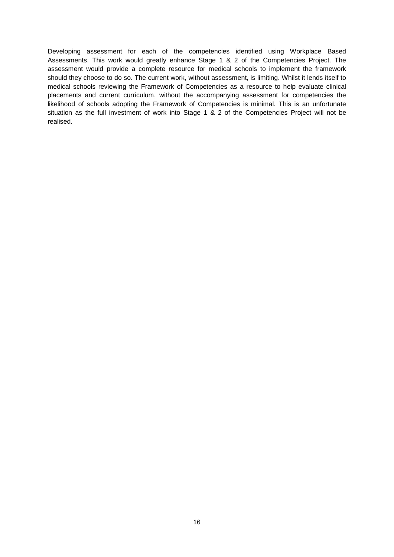Developing assessment for each of the competencies identified using Workplace Based Assessments. This work would greatly enhance Stage 1 & 2 of the Competencies Project. The assessment would provide a complete resource for medical schools to implement the framework should they choose to do so. The current work, without assessment, is limiting. Whilst it lends itself to medical schools reviewing the Framework of Competencies as a resource to help evaluate clinical placements and current curriculum, without the accompanying assessment for competencies the likelihood of schools adopting the Framework of Competencies is minimal. This is an unfortunate situation as the full investment of work into Stage 1 & 2 of the Competencies Project will not be realised.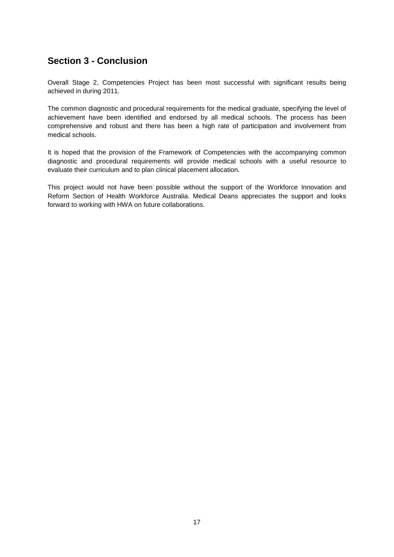## <span id="page-17-0"></span>**Section 3 - Conclusion**

Overall Stage 2, Competencies Project has been most successful with significant results being achieved in during 2011.

The common diagnostic and procedural requirements for the medical graduate, specifying the level of achievement have been identified and endorsed by all medical schools. The process has been comprehensive and robust and there has been a high rate of participation and involvement from medical schools.

It is hoped that the provision of the Framework of Competencies with the accompanying common diagnostic and procedural requirements will provide medical schools with a useful resource to evaluate their curriculum and to plan clinical placement allocation.

This project would not have been possible without the support of the Workforce Innovation and Reform Section of Health Workforce Australia. Medical Deans appreciates the support and looks forward to working with HWA on future collaborations.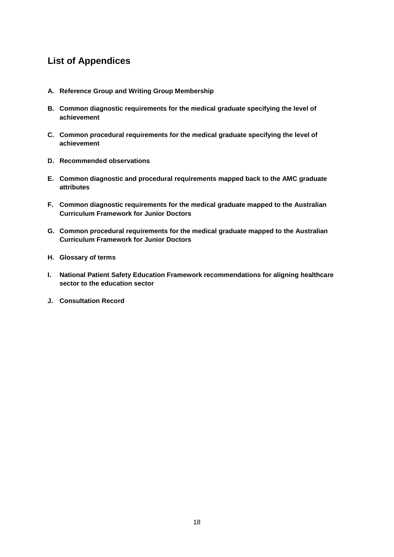## <span id="page-18-0"></span>**List of Appendices**

- **A. Reference Group and Writing Group Membership**
- **B. Common diagnostic requirements for the medical graduate specifying the level of achievement**
- **C. Common procedural requirements for the medical graduate specifying the level of achievement**
- **D. Recommended observations**
- **E. Common diagnostic and procedural requirements mapped back to the AMC graduate attributes**
- **F. Common diagnostic requirements for the medical graduate mapped to the Australian Curriculum Framework for Junior Doctors**
- **G. Common procedural requirements for the medical graduate mapped to the Australian Curriculum Framework for Junior Doctors**
- **H. Glossary of terms**
- **I. National Patient Safety Education Framework recommendations for aligning healthcare sector to the education sector**
- **J. Consultation Record**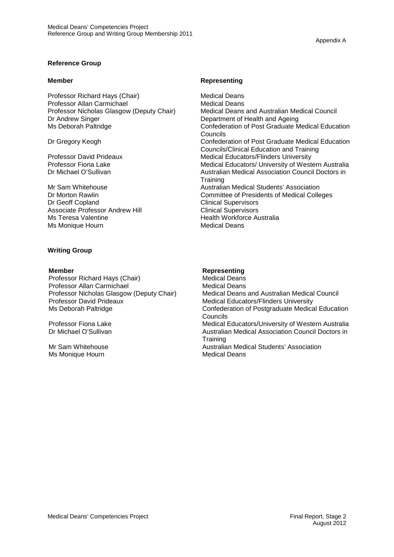#### **Reference Group**

Professor Richard Hays (Chair) Medical Deans Professor Allan Carmichael (Medical Deans Medical Deans Professor Nicholas Glasgow (Deputy Chair) Dr Andrew Singer Department of Health and Ageing<br>
Ms Deborah Paltridge Confederation of Post Graduate M

Associate Professor Andrew Hill Ms Teresa Valentine<br>
Ms Monique Hourn<br>
Medical Deans Ms Monique Hourn

#### **Writing Group**

**Member Representing** Professor Richard Hays (Chair) **Medical Deans**<br> **Professor Allan Carmichael** Medical Deans Professor Nicholas Glasgow (Deputy Chair)<br>Professor David Prideaux Professor David Prideaux Medical Educators/Flinders University<br>Ms Deborah Paltridge Medical Educators/Flinders University<br>Confederation of Postgraduate Medica

Mr Sam Whitehouse Ms Monique Hourn

#### **Member Representing**

Professor Nicholas Glasgow (Deputy Chair) Medical Deans and Australian Medical Council<br>Department of Health and Ageing Confederation of Post Graduate Medical Education Councils Dr Gregory Keogh Confederation of Post Graduate Medical Education Councils/Clinical Education and Training Professor David Prideaux Medical Educators/Flinders University<br>
Professor Fiona Lake Medical Educators/ University of West Professor Fiona Lake **Medical Educators/ University of Western Australia**<br>Dr Michael O'Sullivan Medical Association Council Doctors in Australian Medical Association Council Doctors in **Training** Mr Sam Whitehouse **Australian Medical Students' Association** Australian Medical Students' Association Dr Morton Rawlin **Dr Morton Rawlin** Committee of Presidents of Medical Colleges<br>
Dr Geoff Copland **Clinical Supervisors Clinical Supervisors**<br>**Clinical Supervisors** 

Professor Allan Carmichael **Medical Deans**<br> **Professor Nicholas Glasgow (Deputy Chair)** Medical Deans and Australian Medical Council Confederation of Postgraduate Medical Education Councils Professor Fiona Lake **Medical Educators/University of Western Australia**<br>
Dr Michael O'Sullivan Medical Association Council Doctors in Australian Medical Association Council Doctors in **Training** Australian Medical Students' Association Medical Deans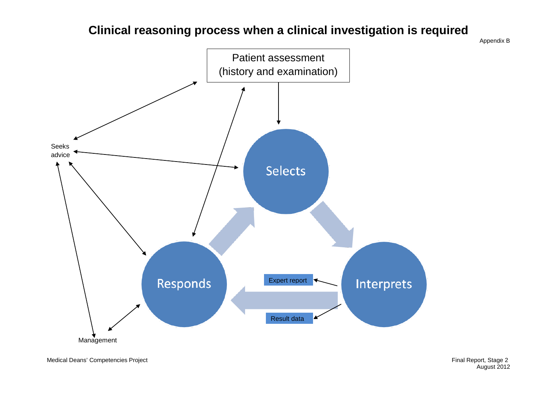# **Clinical reasoning process when a clinical investigation is required**

Appendix B



Medical Deans' Competencies Project **Final Report, Stage 2** and Medical Deans' Competencies Project

August 2012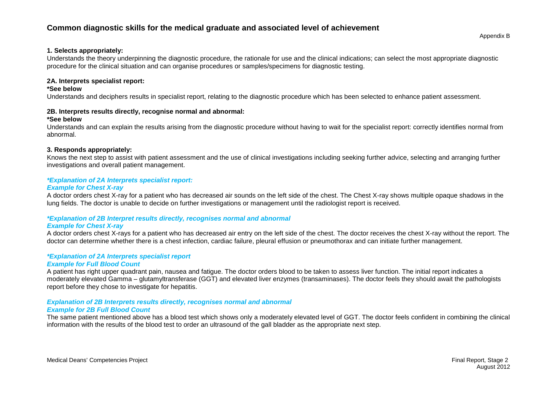### **Common diagnostic skills for the medical graduate and associated level of achievement**

#### **1. Selects appropriately:**

Understands the theory underpinning the diagnostic procedure, the rationale for use and the clinical indications; can select the most appropriate diagnostic procedure for the clinical situation and can organise procedures or samples/specimens for diagnostic testing.

#### **2A. Interprets specialist report:**

#### **\*See below**

Understands and deciphers results in specialist report, relating to the diagnostic procedure which has been selected to enhance patient assessment.

#### **2B. Interprets results directly, recognise normal and abnormal:**

#### **\*See below**

Understands and can explain the results arising from the diagnostic procedure without having to wait for the specialist report: correctly identifies normal from abnormal.

#### **3. Responds appropriately:**

Knows the next step to assist with patient assessment and the use of clinical investigations including seeking further advice, selecting and arranging further investigations and overall patient management.

### *\*Explanation of 2A Interprets specialist report:*

#### *Example for Chest X-ray*

A doctor orders chest X-ray for a patient who has decreased air sounds on the left side of the chest. The Chest X-ray shows multiple opaque shadows in the lung fields. The doctor is unable to decide on further investigations or management until the radiologist report is received.

#### *\*Explanation of 2B Interpret results directly, recognises normal and abnormal*

#### *Example for Chest X-ray*

A doctor orders chest X-rays for a patient who has decreased air entry on the left side of the chest. The doctor receives the chest X-ray without the report. The doctor can determine whether there is a chest infection, cardiac failure, pleural effusion or pneumothorax and can initiate further management.

#### *\*Explanation of 2A Interprets specialist report*

#### *Example for Full Blood Count*

A patient has right upper quadrant pain, nausea and fatigue. The doctor orders blood to be taken to assess liver function. The initial report indicates a moderately elevated Gamma – glutamyltransferase (GGT) and elevated liver enzymes (transaminases). The doctor feels they should await the pathologists report before they chose to investigate for hepatitis.

### *Explanation of 2B Interprets results directly, recognises normal and abnormal*

#### *Example for 2B Full Blood Count*

The same patient mentioned above has a blood test which shows only a moderately elevated level of GGT. The doctor feels confident in combining the clinical information with the results of the blood test to order an ultrasound of the gall bladder as the appropriate next step.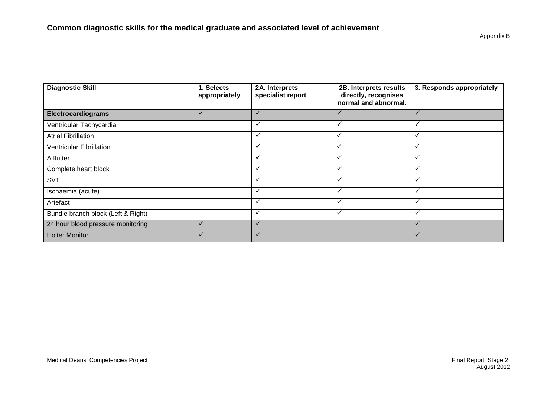| <b>Diagnostic Skill</b>            | 1. Selects<br>appropriately | 2A. Interprets<br>specialist report | 2B. Interprets results<br>directly, recognises<br>normal and abnormal. | 3. Responds appropriately |
|------------------------------------|-----------------------------|-------------------------------------|------------------------------------------------------------------------|---------------------------|
| <b>Electrocardiograms</b>          | $\checkmark$                | $\checkmark$                        | ✓                                                                      | ✓                         |
| Ventricular Tachycardia            |                             | $\checkmark$                        | ✓                                                                      | $\checkmark$              |
| <b>Atrial Fibrillation</b>         |                             |                                     |                                                                        | ✓                         |
| <b>Ventricular Fibrillation</b>    |                             | $\checkmark$                        | ✓                                                                      | $\checkmark$              |
| A flutter                          |                             | ✓                                   | $\checkmark$                                                           | $\checkmark$              |
| Complete heart block               |                             | $\checkmark$                        | ✓                                                                      | $\checkmark$              |
| <b>SVT</b>                         |                             | v                                   |                                                                        | $\checkmark$              |
| Ischaemia (acute)                  |                             | $\checkmark$                        | $\checkmark$                                                           | $\checkmark$              |
| Artefact                           |                             |                                     | ✓                                                                      | ✓                         |
| Bundle branch block (Left & Right) |                             |                                     |                                                                        | $\ddot{\phantom{0}}$      |
| 24 hour blood pressure monitoring  |                             |                                     |                                                                        | $\checkmark$              |
| <b>Holter Monitor</b>              |                             |                                     |                                                                        |                           |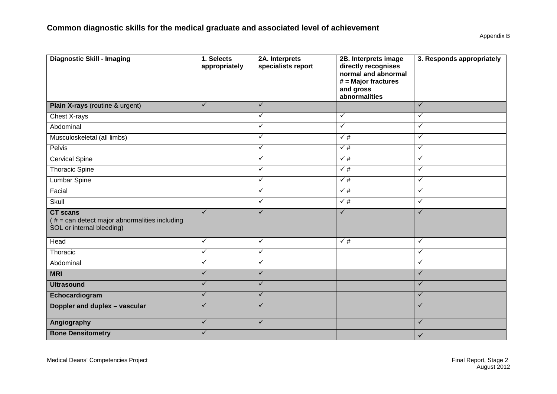| <b>Diagnostic Skill - Imaging</b>                                                              | 1. Selects<br>appropriately | 2A. Interprets<br>specialists report | 2B. Interprets image<br>directly recognises<br>normal and abnormal<br>$#$ = Major fractures<br>and gross<br>abnormalities | 3. Responds appropriately |
|------------------------------------------------------------------------------------------------|-----------------------------|--------------------------------------|---------------------------------------------------------------------------------------------------------------------------|---------------------------|
| Plain X-rays (routine & urgent)                                                                | $\checkmark$                | $\checkmark$                         |                                                                                                                           | ✓                         |
| Chest X-rays                                                                                   |                             | $\checkmark$                         | $\checkmark$                                                                                                              | $\checkmark$              |
| Abdominal                                                                                      |                             | $\checkmark$                         | $\checkmark$                                                                                                              | ✓                         |
| Musculoskeletal (all limbs)                                                                    |                             | $\checkmark$                         | $\sqrt{#}$                                                                                                                | $\checkmark$              |
| Pelvis                                                                                         |                             | $\checkmark$                         | $\sqrt{\frac{4}{7}}$                                                                                                      | $\checkmark$              |
| <b>Cervical Spine</b>                                                                          |                             | $\checkmark$                         | $\sqrt{#}$                                                                                                                | $\checkmark$              |
| <b>Thoracic Spine</b>                                                                          |                             | $\checkmark$                         | $\sqrt{\frac{4}{7}}$                                                                                                      | $\checkmark$              |
| Lumbar Spine                                                                                   |                             | $\checkmark$                         | $\checkmark$ #                                                                                                            | ✓                         |
| Facial                                                                                         |                             | $\checkmark$                         | $\sqrt{\frac{4}{7}}$                                                                                                      | $\checkmark$              |
| Skull                                                                                          |                             | $\checkmark$                         | $\sqrt{\#}$                                                                                                               | $\checkmark$              |
| <b>CT</b> scans<br>$# = can detect major abnormalities including$<br>SOL or internal bleeding) | $\checkmark$                | $\checkmark$                         | $\checkmark$                                                                                                              | $\checkmark$              |
| Head                                                                                           | $\checkmark$                | $\checkmark$                         | $\sqrt{\frac{4}{7}}$                                                                                                      | $\checkmark$              |
| Thoracic                                                                                       | $\checkmark$                | $\checkmark$                         |                                                                                                                           | ✓                         |
| Abdominal                                                                                      | $\checkmark$                | $\checkmark$                         |                                                                                                                           | $\checkmark$              |
| <b>MRI</b>                                                                                     | $\checkmark$                | $\checkmark$                         |                                                                                                                           | $\checkmark$              |
| <b>Ultrasound</b>                                                                              | $\checkmark$                | $\checkmark$                         |                                                                                                                           | $\checkmark$              |
| Echocardiogram                                                                                 | $\checkmark$                | $\checkmark$                         |                                                                                                                           | $\checkmark$              |
| Doppler and duplex - vascular                                                                  | $\checkmark$                | $\checkmark$                         |                                                                                                                           | $\checkmark$              |
| Angiography                                                                                    | $\checkmark$                | $\checkmark$                         |                                                                                                                           | $\checkmark$              |
| <b>Bone Densitometry</b>                                                                       | $\checkmark$                |                                      |                                                                                                                           | $\checkmark$              |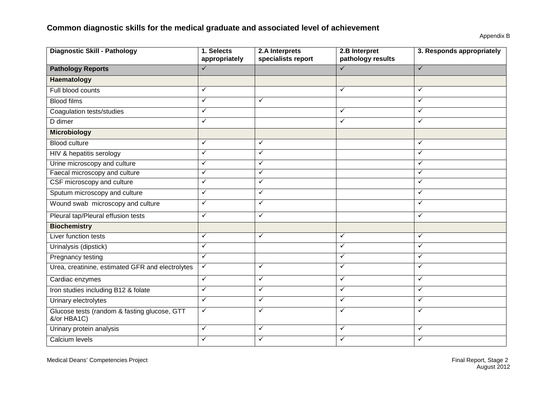## **Common diagnostic skills for the medical graduate and associated level of achievement**

| <b>Diagnostic Skill - Pathology</b>                         | 1. Selects<br>appropriately | 2.A Interprets<br>specialists report | 2.B Interpret<br>pathology results | 3. Responds appropriately |
|-------------------------------------------------------------|-----------------------------|--------------------------------------|------------------------------------|---------------------------|
| <b>Pathology Reports</b>                                    | $\checkmark$                |                                      | $\checkmark$                       | $\checkmark$              |
| Haematology                                                 |                             |                                      |                                    |                           |
| Full blood counts                                           | $\checkmark$                |                                      | $\checkmark$                       | $\checkmark$              |
| <b>Blood films</b>                                          | ✓                           | $\checkmark$                         |                                    | ✓                         |
| Coagulation tests/studies                                   | $\checkmark$                |                                      | ✓                                  | ✓                         |
| D dimer                                                     | $\checkmark$                |                                      | ✓                                  | $\checkmark$              |
| <b>Microbiology</b>                                         |                             |                                      |                                    |                           |
| <b>Blood culture</b>                                        | ✓                           | ✓                                    |                                    | ✓                         |
| HIV & hepatitis serology                                    | $\checkmark$                | $\checkmark$                         |                                    | $\checkmark$              |
| Urine microscopy and culture                                | $\checkmark$                | $\checkmark$                         |                                    | ✓                         |
| Faecal microscopy and culture                               | ✓                           | $\checkmark$                         |                                    | $\checkmark$              |
| CSF microscopy and culture                                  | $\checkmark$                | $\checkmark$                         |                                    | $\checkmark$              |
| Sputum microscopy and culture                               | $\checkmark$                | $\checkmark$                         |                                    | $\checkmark$              |
| Wound swab microscopy and culture                           | $\checkmark$                | $\checkmark$                         |                                    | $\checkmark$              |
| Pleural tap/Pleural effusion tests                          | $\checkmark$                | $\checkmark$                         |                                    | $\checkmark$              |
| <b>Biochemistry</b>                                         |                             |                                      |                                    |                           |
| Liver function tests                                        | $\checkmark$                | $\checkmark$                         | $\checkmark$                       | $\checkmark$              |
| Urinalysis (dipstick)                                       | $\checkmark$                |                                      | $\checkmark$                       | $\checkmark$              |
| Pregnancy testing                                           | $\checkmark$                |                                      | ✓                                  | ✓                         |
| Urea, creatinine, estimated GFR and electrolytes            | $\checkmark$                | $\checkmark$                         | ✓                                  | ✓                         |
| Cardiac enzymes                                             | $\checkmark$                | $\checkmark$                         | ✓                                  | $\checkmark$              |
| Iron studies including B12 & folate                         | $\checkmark$                | $\checkmark$                         | $\checkmark$                       | $\checkmark$              |
| Urinary electrolytes                                        | $\checkmark$                | $\checkmark$                         | $\checkmark$                       | $\checkmark$              |
| Glucose tests (random & fasting glucose, GTT<br>&/or HBA1C) | $\checkmark$                | $\checkmark$                         | $\checkmark$                       | $\checkmark$              |
| Urinary protein analysis                                    | $\checkmark$                | $\checkmark$                         | ✓                                  | ✓                         |
| Calcium levels                                              | $\checkmark$                | $\checkmark$                         | $\checkmark$                       | $\checkmark$              |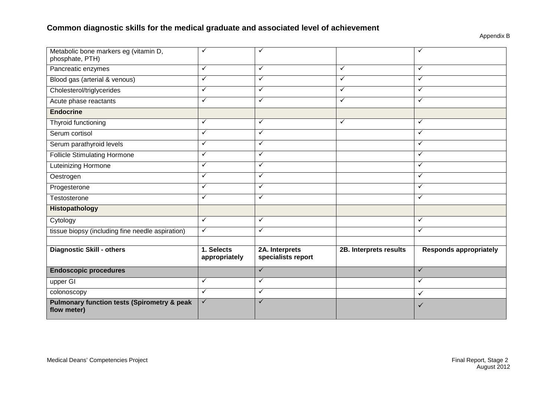## **Common diagnostic skills for the medical graduate and associated level of achievement**

| Metabolic bone markers eg (vitamin D,<br>phosphate, PTH)              | ✓                           | ✓                                    |                        | ✓                             |
|-----------------------------------------------------------------------|-----------------------------|--------------------------------------|------------------------|-------------------------------|
| Pancreatic enzymes                                                    | $\checkmark$                | ✓                                    | $\checkmark$           | $\checkmark$                  |
| Blood gas (arterial & venous)                                         | $\checkmark$                | $\checkmark$                         | $\checkmark$           | $\checkmark$                  |
| Cholesterol/triglycerides                                             | ✓                           | ✓                                    | $\checkmark$           | $\checkmark$                  |
| Acute phase reactants                                                 | $\checkmark$                | $\checkmark$                         | $\checkmark$           | $\checkmark$                  |
| <b>Endocrine</b>                                                      |                             |                                      |                        |                               |
| Thyroid functioning                                                   | $\checkmark$                | $\checkmark$                         | $\checkmark$           | $\checkmark$                  |
| Serum cortisol                                                        | ✓                           | $\checkmark$                         |                        | ✓                             |
| Serum parathyroid levels                                              | $\checkmark$                | $\checkmark$                         |                        | $\checkmark$                  |
| <b>Follicle Stimulating Hormone</b>                                   | $\checkmark$                | ✓                                    |                        | $\checkmark$                  |
| Luteinizing Hormone                                                   | $\checkmark$                | $\checkmark$                         |                        | $\checkmark$                  |
| Oestrogen                                                             | $\checkmark$                | ✓                                    |                        | ✓                             |
| Progesterone                                                          | $\checkmark$                | $\checkmark$                         |                        | $\checkmark$                  |
| Testosterone                                                          | $\checkmark$                | ✓                                    |                        | ✓                             |
| Histopathology                                                        |                             |                                      |                        |                               |
| Cytology                                                              | $\checkmark$                | ✓                                    |                        | $\checkmark$                  |
| tissue biopsy (including fine needle aspiration)                      | $\checkmark$                | $\checkmark$                         |                        | $\checkmark$                  |
|                                                                       |                             |                                      |                        |                               |
| <b>Diagnostic Skill - others</b>                                      | 1. Selects<br>appropriately | 2A. Interprets<br>specialists report | 2B. Interprets results | <b>Responds appropriately</b> |
| <b>Endoscopic procedures</b>                                          |                             | $\checkmark$                         |                        | $\checkmark$                  |
| upper GI                                                              | $\checkmark$                | $\checkmark$                         |                        | $\checkmark$                  |
| colonoscopy                                                           | $\checkmark$                | ✓                                    |                        | $\checkmark$                  |
| <b>Pulmonary function tests (Spirometry &amp; peak</b><br>flow meter) | $\checkmark$                | $\checkmark$                         |                        | ✓                             |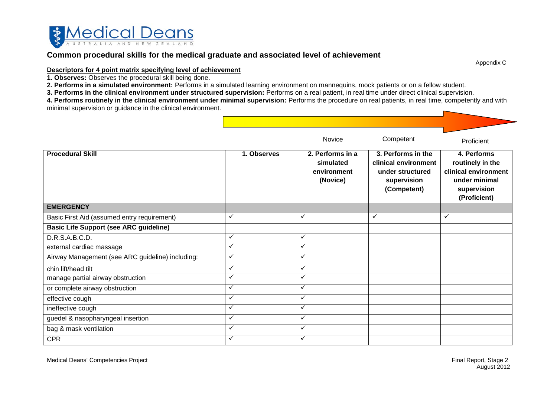

### **Common procedural skills for the medical graduate and associated level of achievement**

Appendix C

#### **Descriptors for 4 point matrix specifying level of achievement**

**1. Observes:** Observes the procedural skill being done.

**2. Performs in a simulated environment:** Performs in a simulated learning environment on mannequins, mock patients or on a fellow student.

**3. Performs in the clinical environment under structured supervision:** Performs on a real patient, in real time under direct clinical supervision.

**4. Performs routinely in the clinical environment under minimal supervision:** Performs the procedure on real patients, in real time, competently and with minimal supervision or guidance in the clinical environment.

|                                                  |              | Novice                                                   | Competent                                                                                    | Proficient                                                                                              |
|--------------------------------------------------|--------------|----------------------------------------------------------|----------------------------------------------------------------------------------------------|---------------------------------------------------------------------------------------------------------|
| <b>Procedural Skill</b>                          | 1. Observes  | 2. Performs in a<br>simulated<br>environment<br>(Novice) | 3. Performs in the<br>clinical environment<br>under structured<br>supervision<br>(Competent) | 4. Performs<br>routinely in the<br>clinical environment<br>under minimal<br>supervision<br>(Proficient) |
| <b>EMERGENCY</b>                                 |              |                                                          |                                                                                              |                                                                                                         |
| Basic First Aid (assumed entry requirement)      | $\checkmark$ | $\checkmark$                                             | $\checkmark$                                                                                 | $\checkmark$                                                                                            |
| <b>Basic Life Support (see ARC guideline)</b>    |              |                                                          |                                                                                              |                                                                                                         |
| D.R.S.A.B.C.D.                                   | $\checkmark$ | $\checkmark$                                             |                                                                                              |                                                                                                         |
| external cardiac massage                         | $\checkmark$ | $\checkmark$                                             |                                                                                              |                                                                                                         |
| Airway Management (see ARC guideline) including: | $\checkmark$ | $\checkmark$                                             |                                                                                              |                                                                                                         |
| chin lift/head tilt                              | ✓            | $\checkmark$                                             |                                                                                              |                                                                                                         |
| manage partial airway obstruction                | ✓            | $\checkmark$                                             |                                                                                              |                                                                                                         |
| or complete airway obstruction                   | $\checkmark$ | $\checkmark$                                             |                                                                                              |                                                                                                         |
| effective cough                                  | $\checkmark$ | $\checkmark$                                             |                                                                                              |                                                                                                         |
| ineffective cough                                | $\checkmark$ | $\checkmark$                                             |                                                                                              |                                                                                                         |
| guedel & nasopharyngeal insertion                | $\checkmark$ | $\checkmark$                                             |                                                                                              |                                                                                                         |
| bag & mask ventilation                           | ✓            | $\checkmark$                                             |                                                                                              |                                                                                                         |
| <b>CPR</b>                                       | $\checkmark$ | $\checkmark$                                             |                                                                                              |                                                                                                         |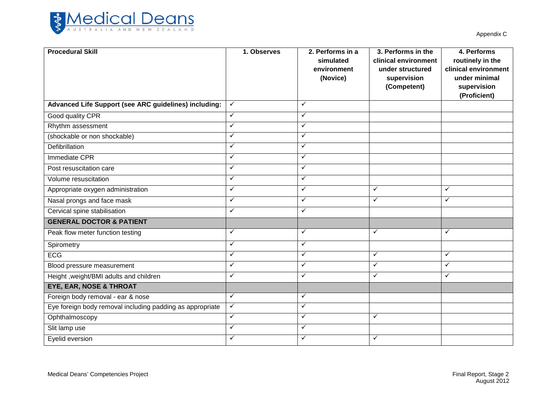

| <b>Procedural Skill</b>                                   | 1. Observes  | 2. Performs in a<br>simulated<br>environment<br>(Novice) | 3. Performs in the<br>clinical environment<br>under structured<br>supervision<br>(Competent) | 4. Performs<br>routinely in the<br>clinical environment<br>under minimal<br>supervision<br>(Proficient) |
|-----------------------------------------------------------|--------------|----------------------------------------------------------|----------------------------------------------------------------------------------------------|---------------------------------------------------------------------------------------------------------|
| Advanced Life Support (see ARC guidelines) including:     | $\checkmark$ | $\checkmark$                                             |                                                                                              |                                                                                                         |
| Good quality CPR                                          | ✓            | ✓                                                        |                                                                                              |                                                                                                         |
| Rhythm assessment                                         | ✓            | ✓                                                        |                                                                                              |                                                                                                         |
| (shockable or non shockable)                              | ✓            | $\checkmark$                                             |                                                                                              |                                                                                                         |
| Defibrillation                                            | $\checkmark$ | $\checkmark$                                             |                                                                                              |                                                                                                         |
| Immediate CPR                                             | ✓            | $\checkmark$                                             |                                                                                              |                                                                                                         |
| Post resuscitation care                                   | ✓            | ✓                                                        |                                                                                              |                                                                                                         |
| Volume resuscitation                                      | $\checkmark$ | $\checkmark$                                             |                                                                                              |                                                                                                         |
| Appropriate oxygen administration                         | $\checkmark$ | $\checkmark$                                             | $\checkmark$                                                                                 | $\checkmark$                                                                                            |
| Nasal prongs and face mask                                | ✓            | $\checkmark$                                             | $\checkmark$                                                                                 | ✓                                                                                                       |
| Cervical spine stabilisation                              | ✓            | ✓                                                        |                                                                                              |                                                                                                         |
| <b>GENERAL DOCTOR &amp; PATIENT</b>                       |              |                                                          |                                                                                              |                                                                                                         |
| Peak flow meter function testing                          | ✓            | ✓                                                        | $\checkmark$                                                                                 | ✓                                                                                                       |
| Spirometry                                                | $\checkmark$ | $\checkmark$                                             |                                                                                              |                                                                                                         |
| <b>ECG</b>                                                | $\checkmark$ | $\checkmark$                                             | $\checkmark$                                                                                 | $\checkmark$                                                                                            |
| Blood pressure measurement                                | $\checkmark$ | $\checkmark$                                             | $\checkmark$                                                                                 | $\checkmark$                                                                                            |
| Height, weight/BMI adults and children                    | $\checkmark$ | $\checkmark$                                             | $\checkmark$                                                                                 | ✓                                                                                                       |
| <b>EYE, EAR, NOSE &amp; THROAT</b>                        |              |                                                          |                                                                                              |                                                                                                         |
| Foreign body removal - ear & nose                         | ✓            | $\checkmark$                                             |                                                                                              |                                                                                                         |
| Eye foreign body removal including padding as appropriate | $\checkmark$ | $\checkmark$                                             |                                                                                              |                                                                                                         |
| Ophthalmoscopy                                            | $\checkmark$ | $\checkmark$                                             | $\checkmark$                                                                                 |                                                                                                         |
| Slit lamp use                                             | $\checkmark$ | ✓                                                        |                                                                                              |                                                                                                         |
| Eyelid eversion                                           | ✓            | $\checkmark$                                             | $\checkmark$                                                                                 |                                                                                                         |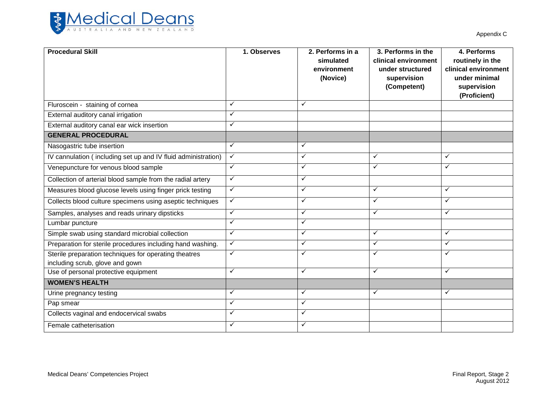

| <b>Procedural Skill</b>                                                                  | 1. Observes  | 2. Performs in a<br>simulated<br>environment<br>(Novice) | 3. Performs in the<br>clinical environment<br>under structured<br>supervision<br>(Competent) | 4. Performs<br>routinely in the<br>clinical environment<br>under minimal<br>supervision<br>(Proficient) |
|------------------------------------------------------------------------------------------|--------------|----------------------------------------------------------|----------------------------------------------------------------------------------------------|---------------------------------------------------------------------------------------------------------|
| Fluroscein - staining of cornea                                                          | ✓            | $\checkmark$                                             |                                                                                              |                                                                                                         |
| External auditory canal irrigation                                                       | ✓            |                                                          |                                                                                              |                                                                                                         |
| External auditory canal ear wick insertion                                               | ✓            |                                                          |                                                                                              |                                                                                                         |
| <b>GENERAL PROCEDURAL</b>                                                                |              |                                                          |                                                                                              |                                                                                                         |
| Nasogastric tube insertion                                                               | ✓            | $\checkmark$                                             |                                                                                              |                                                                                                         |
| IV cannulation (including set up and IV fluid administration)                            | $\checkmark$ | ✓                                                        | ✓                                                                                            | ✓                                                                                                       |
| Venepuncture for venous blood sample                                                     | ✓            | $\checkmark$                                             | ✓                                                                                            | $\checkmark$                                                                                            |
| Collection of arterial blood sample from the radial artery                               | $\checkmark$ | $\checkmark$                                             |                                                                                              |                                                                                                         |
| Measures blood glucose levels using finger prick testing                                 | ✓            | $\checkmark$                                             | ✓                                                                                            | $\checkmark$                                                                                            |
| Collects blood culture specimens using aseptic techniques                                | $\checkmark$ | $\checkmark$                                             | ✓                                                                                            | $\checkmark$                                                                                            |
| Samples, analyses and reads urinary dipsticks                                            | ✓            | $\checkmark$                                             | ✓                                                                                            | $\checkmark$                                                                                            |
| Lumbar puncture                                                                          | $\checkmark$ | $\checkmark$                                             |                                                                                              |                                                                                                         |
| Simple swab using standard microbial collection                                          | $\checkmark$ | $\checkmark$                                             | ✓                                                                                            | $\checkmark$                                                                                            |
| Preparation for sterile procedures including hand washing.                               | $\checkmark$ | $\checkmark$                                             | $\checkmark$                                                                                 | $\checkmark$                                                                                            |
| Sterile preparation techniques for operating theatres<br>including scrub, glove and gown | ✓            | $\checkmark$                                             | ✓                                                                                            | $\checkmark$                                                                                            |
| Use of personal protective equipment                                                     | ✓            | ✓                                                        | ✓                                                                                            | $\checkmark$                                                                                            |
| <b>WOMEN'S HEALTH</b>                                                                    |              |                                                          |                                                                                              |                                                                                                         |
| Urine pregnancy testing                                                                  | $\checkmark$ | $\checkmark$                                             | $\checkmark$                                                                                 | $\checkmark$                                                                                            |
| Pap smear                                                                                | $\checkmark$ | $\checkmark$                                             |                                                                                              |                                                                                                         |
| Collects vaginal and endocervical swabs                                                  | ✓            | $\checkmark$                                             |                                                                                              |                                                                                                         |
| Female catheterisation                                                                   | ✓            | $\checkmark$                                             |                                                                                              |                                                                                                         |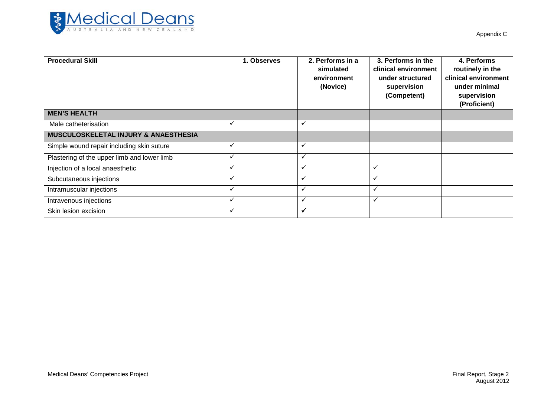

| <b>Procedural Skill</b>                     | 1. Observes  | 2. Performs in a<br>simulated<br>environment<br>(Novice) | 3. Performs in the<br>clinical environment<br>under structured<br>supervision<br>(Competent) | 4. Performs<br>routinely in the<br>clinical environment<br>under minimal<br>supervision<br>(Proficient) |
|---------------------------------------------|--------------|----------------------------------------------------------|----------------------------------------------------------------------------------------------|---------------------------------------------------------------------------------------------------------|
| <b>MEN'S HEALTH</b>                         |              |                                                          |                                                                                              |                                                                                                         |
| Male catheterisation                        | ✓            | $\checkmark$                                             |                                                                                              |                                                                                                         |
| MUSCULOSKELETAL INJURY & ANAESTHESIA        |              |                                                          |                                                                                              |                                                                                                         |
| Simple wound repair including skin suture   | ✓            | $\checkmark$                                             |                                                                                              |                                                                                                         |
| Plastering of the upper limb and lower limb | $\checkmark$ | ✓                                                        |                                                                                              |                                                                                                         |
| Injection of a local anaesthetic            | ✓            | $\checkmark$                                             | $\checkmark$                                                                                 |                                                                                                         |
| Subcutaneous injections                     | $\checkmark$ | $\checkmark$                                             | $\checkmark$                                                                                 |                                                                                                         |
| Intramuscular injections                    | ✓            | $\checkmark$                                             |                                                                                              |                                                                                                         |
| Intravenous injections                      | ✓            | $\checkmark$                                             | ✓                                                                                            |                                                                                                         |
| Skin lesion excision                        | ✓            | $\checkmark$                                             |                                                                                              |                                                                                                         |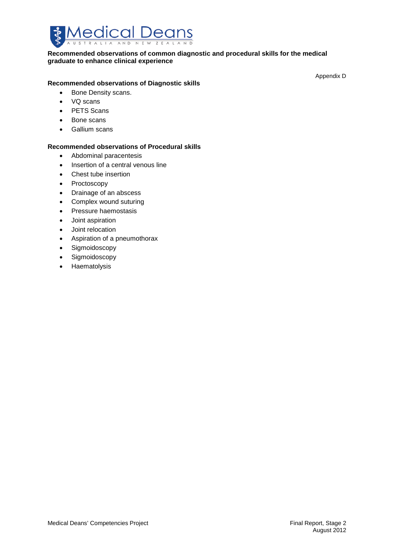

#### **Recommended observations of common diagnostic and procedural skills for the medical graduate to enhance clinical experience**

#### **Recommended observations of Diagnostic skills**

- Bone Density scans.
- VQ scans
- PETS Scans
- Bone scans
- Gallium scans

#### **Recommended observations of Procedural skills**

- Abdominal paracentesis
- Insertion of a central venous line
- Chest tube insertion
- Proctoscopy
- Drainage of an abscess
- Complex wound suturing
- Pressure haemostasis
- Joint aspiration
- Joint relocation
- Aspiration of a pneumothorax
- Sigmoidoscopy
- Sigmoidoscopy
- Haematolysis

Appendix D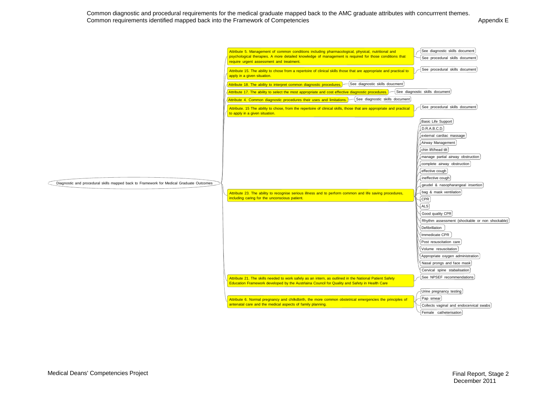Common diagnostic and procedural requirements for the medical graduate mapped back to the AMC graduate attributes with concurrrent themes. Common requirements identified mapped back into the Framework of Competencies **Appendix E** Appendix E

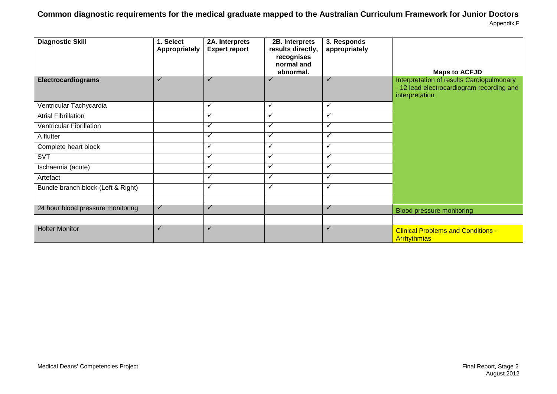### **Common diagnostic requirements for the medical graduate mapped to the Australian Curriculum Framework for Junior Doctors** Appendix F

| <b>Diagnostic Skill</b>            | 1. Select<br>Appropriately | 2A. Interprets<br><b>Expert report</b> | 2B. Interprets<br>results directly,<br>recognises<br>normal and<br>abnormal. | 3. Responds<br>appropriately | <b>Maps to ACFJD</b>                                                                                     |
|------------------------------------|----------------------------|----------------------------------------|------------------------------------------------------------------------------|------------------------------|----------------------------------------------------------------------------------------------------------|
| <b>Electrocardiograms</b>          | $\checkmark$               | $\checkmark$                           | $\checkmark$                                                                 | $\checkmark$                 | Interpretation of results Cardiopulmonary<br>- 12 lead electrocardiogram recording and<br>interpretation |
| Ventricular Tachycardia            |                            | $\checkmark$                           | ✓                                                                            | ✓                            |                                                                                                          |
| <b>Atrial Fibrillation</b>         |                            | $\checkmark$                           | $\checkmark$                                                                 | ✓                            |                                                                                                          |
| <b>Ventricular Fibrillation</b>    |                            | $\checkmark$                           | $\checkmark$                                                                 | ✓                            |                                                                                                          |
| A flutter                          |                            | $\checkmark$                           | $\checkmark$                                                                 | ✓                            |                                                                                                          |
| Complete heart block               |                            | $\checkmark$                           | $\checkmark$                                                                 | ✓                            |                                                                                                          |
| <b>SVT</b>                         |                            | $\checkmark$                           | $\checkmark$                                                                 | ✓                            |                                                                                                          |
| Ischaemia (acute)                  |                            | $\checkmark$                           | ✓                                                                            | ✓                            |                                                                                                          |
| Artefact                           |                            | $\checkmark$                           | $\checkmark$                                                                 | ✓                            |                                                                                                          |
| Bundle branch block (Left & Right) |                            | ✓                                      | $\checkmark$                                                                 | ✓                            |                                                                                                          |
| 24 hour blood pressure monitoring  | $\checkmark$               | $\checkmark$                           |                                                                              | $\checkmark$                 | Blood pressure monitoring                                                                                |
|                                    |                            |                                        |                                                                              |                              |                                                                                                          |
| <b>Holter Monitor</b>              | ✓                          | ✓                                      |                                                                              | ✓                            | <b>Clinical Problems and Conditions -</b><br><b>Arrhythmias</b>                                          |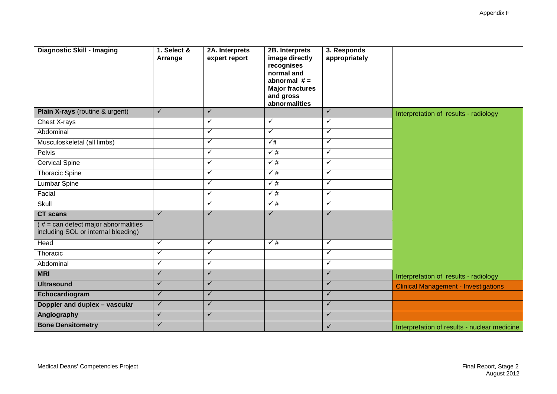| <b>Diagnostic Skill - Imaging</b>                                           | 1. Select &<br>Arrange | 2A. Interprets<br>expert report | 2B. Interprets<br>image directly<br>recognises<br>normal and<br>abnormal $# =$<br><b>Major fractures</b><br>and gross<br>abnormalities | 3. Responds<br>appropriately |                                              |
|-----------------------------------------------------------------------------|------------------------|---------------------------------|----------------------------------------------------------------------------------------------------------------------------------------|------------------------------|----------------------------------------------|
| Plain X-rays (routine & urgent)                                             | $\checkmark$           | $\checkmark$                    |                                                                                                                                        | $\checkmark$                 | Interpretation of results - radiology        |
| Chest X-rays                                                                |                        | $\checkmark$                    | $\checkmark$                                                                                                                           | $\checkmark$                 |                                              |
| Abdominal                                                                   |                        | $\checkmark$                    | $\checkmark$                                                                                                                           | ✓                            |                                              |
| Musculoskeletal (all limbs)                                                 |                        | $\checkmark$                    | $\checkmark$ #                                                                                                                         | $\checkmark$                 |                                              |
| Pelvis                                                                      |                        | $\checkmark$                    | $\sqrt{\frac{4}{7}}$                                                                                                                   | $\checkmark$                 |                                              |
| <b>Cervical Spine</b>                                                       |                        | $\checkmark$                    | $\sqrt{\frac{4}{7}}$                                                                                                                   | $\checkmark$                 |                                              |
| <b>Thoracic Spine</b>                                                       |                        | $\checkmark$                    | $\checkmark$ #                                                                                                                         | $\checkmark$                 |                                              |
| <b>Lumbar Spine</b>                                                         |                        | $\checkmark$                    | $\checkmark$ #                                                                                                                         | $\checkmark$                 |                                              |
| Facial                                                                      |                        | ✓                               | $\sqrt{\frac{4}{1}}$                                                                                                                   | $\checkmark$                 |                                              |
| Skull                                                                       |                        | $\checkmark$                    | $\sqrt{\#}$                                                                                                                            | $\checkmark$                 |                                              |
| <b>CT</b> scans                                                             | $\checkmark$           | $\checkmark$                    | $\checkmark$                                                                                                                           | $\checkmark$                 |                                              |
| $# = can detect major abnormalities$<br>including SOL or internal bleeding) |                        |                                 |                                                                                                                                        |                              |                                              |
| Head                                                                        | $\checkmark$           | $\checkmark$                    | $\sqrt{\frac{4}{1}}$                                                                                                                   | $\checkmark$                 |                                              |
| Thoracic                                                                    | $\checkmark$           | $\checkmark$                    |                                                                                                                                        | $\checkmark$                 |                                              |
| Abdominal                                                                   | $\checkmark$           | $\checkmark$                    |                                                                                                                                        | $\checkmark$                 |                                              |
| <b>MRI</b>                                                                  | $\checkmark$           | $\checkmark$                    |                                                                                                                                        | $\checkmark$                 | Interpretation of results - radiology        |
| <b>Ultrasound</b>                                                           | $\checkmark$           | $\checkmark$                    |                                                                                                                                        | $\checkmark$                 | <b>Clinical Management - Investigations</b>  |
| Echocardiogram                                                              | $\checkmark$           | $\checkmark$                    |                                                                                                                                        | $\checkmark$                 |                                              |
| Doppler and duplex - vascular                                               | $\checkmark$           | $\checkmark$                    |                                                                                                                                        | $\checkmark$                 |                                              |
| Angiography                                                                 | $\checkmark$           | $\checkmark$                    |                                                                                                                                        | ✓                            |                                              |
| <b>Bone Densitometry</b>                                                    | $\checkmark$           |                                 |                                                                                                                                        | $\checkmark$                 | Interpretation of results - nuclear medicine |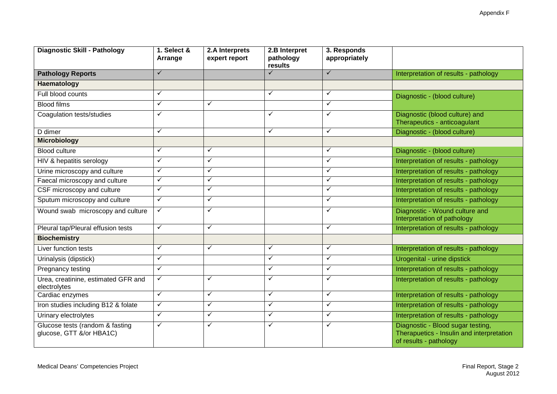Appendix F

| Diagnostic Skill - Pathology                                | 1. Select &<br>Arrange | 2.A Interprets<br>expert report | 2.B Interpret<br>pathology<br>results | 3. Responds<br>appropriately |                                                                                                          |
|-------------------------------------------------------------|------------------------|---------------------------------|---------------------------------------|------------------------------|----------------------------------------------------------------------------------------------------------|
| <b>Pathology Reports</b>                                    | $\checkmark$           |                                 | $\checkmark$                          | $\checkmark$                 | Interpretation of results - pathology                                                                    |
| Haematology                                                 |                        |                                 |                                       |                              |                                                                                                          |
| Full blood counts                                           | $\checkmark$           |                                 | $\checkmark$                          | $\checkmark$                 | Diagnostic - (blood culture)                                                                             |
| <b>Blood films</b>                                          | $\checkmark$           | ✓                               |                                       | $\checkmark$                 |                                                                                                          |
| Coagulation tests/studies                                   | ✓                      |                                 | $\checkmark$                          | $\checkmark$                 | Diagnostic (blood culture) and<br>Therapeutics - anticoagulant                                           |
| D dimer                                                     | $\checkmark$           |                                 | $\checkmark$                          | $\checkmark$                 | Diagnostic - (blood culture)                                                                             |
| <b>Microbiology</b>                                         |                        |                                 |                                       |                              |                                                                                                          |
| <b>Blood culture</b>                                        | $\checkmark$           | $\checkmark$                    |                                       | $\checkmark$                 | Diagnostic - (blood culture)                                                                             |
| HIV & hepatitis serology                                    | $\checkmark$           | $\checkmark$                    |                                       | $\checkmark$                 | Interpretation of results - pathology                                                                    |
| Urine microscopy and culture                                | $\checkmark$           | $\checkmark$                    |                                       | $\checkmark$                 | Interpretation of results - pathology                                                                    |
| Faecal microscopy and culture                               | $\checkmark$           | $\checkmark$                    |                                       | $\checkmark$                 | Interpretation of results - pathology                                                                    |
| CSF microscopy and culture                                  | $\checkmark$           | $\checkmark$                    |                                       | $\checkmark$                 | Interpretation of results - pathology                                                                    |
| Sputum microscopy and culture                               | $\checkmark$           | $\checkmark$                    |                                       | ✓                            | Interpretation of results - pathology                                                                    |
| Wound swab microscopy and culture                           | $\checkmark$           | ✓                               |                                       | $\checkmark$                 | Diagnostic - Wound culture and<br>Interpretation of pathology                                            |
| Pleural tap/Pleural effusion tests                          | $\checkmark$           | $\checkmark$                    |                                       | $\checkmark$                 | Interpretation of results - pathology                                                                    |
| <b>Biochemistry</b>                                         |                        |                                 |                                       |                              |                                                                                                          |
| Liver function tests                                        | $\checkmark$           | $\checkmark$                    | ✓                                     | $\checkmark$                 | Interpretation of results - pathology                                                                    |
| Urinalysis (dipstick)                                       | $\checkmark$           |                                 | ✓                                     | $\checkmark$                 | Urogenital - urine dipstick                                                                              |
| Pregnancy testing                                           | $\checkmark$           |                                 | $\checkmark$                          | $\checkmark$                 | Interpretation of results - pathology                                                                    |
| Urea, creatinine, estimated GFR and<br>electrolytes         | $\checkmark$           | $\checkmark$                    | $\checkmark$                          | $\checkmark$                 | Interpretation of results - pathology                                                                    |
| Cardiac enzymes                                             | $\checkmark$           | $\checkmark$                    | $\checkmark$                          | $\checkmark$                 | Interpretation of results - pathology                                                                    |
| Iron studies including B12 & folate                         | $\checkmark$           | $\checkmark$                    | $\checkmark$                          | $\checkmark$                 | Interpretation of results - pathology                                                                    |
| Urinary electrolytes                                        | $\checkmark$           | $\checkmark$                    | $\checkmark$                          | $\checkmark$                 | Interpretation of results - pathology                                                                    |
| Glucose tests (random & fasting<br>glucose, GTT &/or HBA1C) | $\checkmark$           | ✓                               | $\checkmark$                          | $\checkmark$                 | Diagnostic - Blood sugar testing,<br>Therapuetics - Insulin and interpretation<br>of results - pathology |

Ξ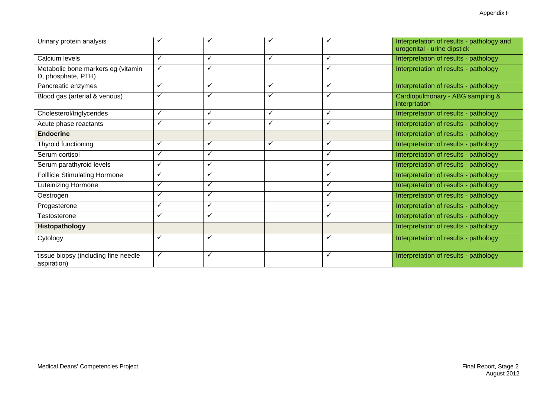| Urinary protein analysis                                 |              |   |              |              | Interpretation of results - pathology and<br>urogenital - urine dipstick |
|----------------------------------------------------------|--------------|---|--------------|--------------|--------------------------------------------------------------------------|
| Calcium levels                                           | ✓            | ✓ | ✓            | ✓            | Interpretation of results - pathology                                    |
| Metabolic bone markers eg (vitamin<br>D, phosphate, PTH) | ✓            | ✓ |              | ✓            | Interpretation of results - pathology                                    |
| Pancreatic enzymes                                       | $\checkmark$ | ✓ | $\checkmark$ | $\checkmark$ | Interpretation of results - pathology                                    |
| Blood gas (arterial & venous)                            | ✓            | ✓ | $\checkmark$ | ✓            | Cardiopulmonary - ABG sampling &<br>interprtation                        |
| Cholesterol/triglycerides                                | $\checkmark$ | ✓ | $\checkmark$ | ✓            | Interpretation of results - pathology                                    |
| Acute phase reactants                                    | $\checkmark$ | ✓ | $\checkmark$ | ✓            | Interpretation of results - pathology                                    |
| <b>Endocrine</b>                                         |              |   |              |              | Interpretation of results - pathology                                    |
| Thyroid functioning                                      | ✓            | ✓ | ✓            | ✓            | Interpretation of results - pathology                                    |
| Serum cortisol                                           | $\checkmark$ | ✓ |              | ✓            | Interpretation of results - pathology                                    |
| Serum parathyroid levels                                 | $\checkmark$ | ✓ |              | ✓            | Interpretation of results - pathology                                    |
| <b>Folllicle Stimulating Hormone</b>                     | $\checkmark$ | ✓ |              | ✓            | Interpretation of results - pathology                                    |
| Luteinizing Hormone                                      | $\checkmark$ | ✓ |              | ✓            | Interpretation of results - pathology                                    |
| Oestrogen                                                | ✓            | ✓ |              | ✓            | Interpretation of results - pathology                                    |
| Progesterone                                             | ✓            | ✓ |              | ✓            | Interpretation of results - pathology                                    |
| Testosterone                                             | ✓            | ✓ |              | ✓            | Interpretation of results - pathology                                    |
| Histopathology                                           |              |   |              |              | Interpretation of results - pathology                                    |
| Cytology                                                 | ✓            | ✓ |              | ✓            | Interpretation of results - pathology                                    |
| tissue biopsy (including fine needle<br>aspiration)      | ✓            | ✓ |              |              | Interpretation of results - pathology                                    |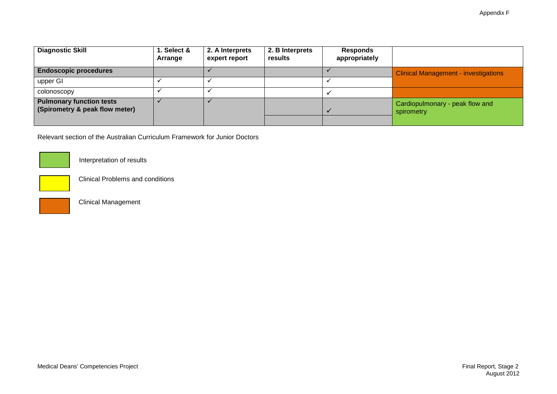| <b>Diagnostic Skill</b>                                           | 1. Select &<br>Arrange | 2. A Interprets<br>expert report | 2. B Interprets<br>results | <b>Responds</b><br>appropriately |                                               |
|-------------------------------------------------------------------|------------------------|----------------------------------|----------------------------|----------------------------------|-----------------------------------------------|
| <b>Endoscopic procedures</b>                                      |                        |                                  |                            |                                  | <b>Clinical Management - investigations</b>   |
| upper GI                                                          |                        |                                  |                            |                                  |                                               |
| colonoscopy                                                       |                        |                                  |                            |                                  |                                               |
| <b>Pulmonary function tests</b><br>(Spirometry & peak flow meter) |                        |                                  |                            |                                  | Cardiopulmonary - peak flow and<br>spirometry |

Relevant section of the Australian Curriculum Framework for Junior Doctors



Interpretation of results



Clinical Problems and conditions

Clinical Management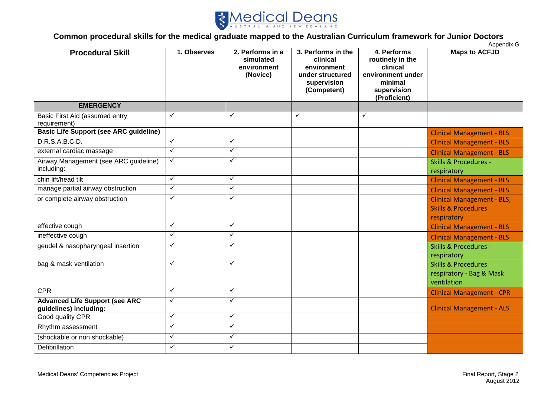

#### **Common procedural skills for the medical graduate mapped to the Australian Curriculum framework for Junior Doctors** Appendix G

| <b>Procedural Skill</b>                                         | 1. Observes  | 2. Performs in a<br>simulated<br>environment<br>(Novice) | 3. Performs in the<br>clinical<br>environment<br>under structured<br>supervision<br>(Competent) | 4. Performs<br>routinely in the<br>clinical<br>environment under<br>minimal<br>supervision<br>(Proficient) | $\mu$<br><b>Maps to ACFJD</b>                                                      |
|-----------------------------------------------------------------|--------------|----------------------------------------------------------|-------------------------------------------------------------------------------------------------|------------------------------------------------------------------------------------------------------------|------------------------------------------------------------------------------------|
| <b>EMERGENCY</b>                                                |              |                                                          |                                                                                                 |                                                                                                            |                                                                                    |
| Basic First Aid (assumed entry<br>requirement)                  | ✓            | ✓                                                        | ✓                                                                                               | ✓                                                                                                          |                                                                                    |
| <b>Basic Life Support (see ARC guideline)</b>                   |              |                                                          |                                                                                                 |                                                                                                            | <b>Clinical Management - BLS</b>                                                   |
| D.R.S.A.B.C.D.                                                  | ✓            | ✓                                                        |                                                                                                 |                                                                                                            | <b>Clinical Management - BLS</b>                                                   |
| external cardiac massage                                        | ✓            | ✓                                                        |                                                                                                 |                                                                                                            | <b>Clinical Management - BLS</b>                                                   |
| Airway Management (see ARC guideline)<br>including:             | ✓            | ✓                                                        |                                                                                                 |                                                                                                            | <b>Skills &amp; Procedures -</b><br>respiratory                                    |
| chin lift/head tilt                                             | ✓            | ✓                                                        |                                                                                                 |                                                                                                            | <b>Clinical Management - BLS</b>                                                   |
| manage partial airway obstruction                               | $\checkmark$ | $\checkmark$                                             |                                                                                                 |                                                                                                            | <b>Clinical Management - BLS</b>                                                   |
| or complete airway obstruction                                  | ✓            | $\checkmark$                                             |                                                                                                 |                                                                                                            | <b>Clinical Management - BLS,</b><br><b>Skills &amp; Procedures</b><br>respiratory |
| effective cough                                                 | ✓            | $\checkmark$                                             |                                                                                                 |                                                                                                            | <b>Clinical Management - BLS</b>                                                   |
| ineffective cough                                               | $\checkmark$ | $\checkmark$                                             |                                                                                                 |                                                                                                            | <b>Clinical Management - BLS</b>                                                   |
| geudel & nasopharyngeal insertion                               | ✓            | ✓                                                        |                                                                                                 |                                                                                                            | <b>Skills &amp; Procedures -</b><br>respiratory                                    |
| bag & mask ventilation                                          | ✓            | ✓                                                        |                                                                                                 |                                                                                                            | <b>Skills &amp; Procedures</b><br>respiratory - Bag & Mask<br>ventilation          |
| <b>CPR</b>                                                      | ✓            | ✓                                                        |                                                                                                 |                                                                                                            | <b>Clinical Management - CPR</b>                                                   |
| <b>Advanced Life Support (see ARC</b><br>guidelines) including: | ✓            | ✓                                                        |                                                                                                 |                                                                                                            | <b>Clinical Management - ALS</b>                                                   |
| Good quality CPR                                                | ✓            | ✓                                                        |                                                                                                 |                                                                                                            |                                                                                    |
| Rhythm assessment                                               | ✓            | ✓                                                        |                                                                                                 |                                                                                                            |                                                                                    |
| (shockable or non shockable)                                    | $\checkmark$ | $\checkmark$                                             |                                                                                                 |                                                                                                            |                                                                                    |
| Defibrillation                                                  | ✓            | ✓                                                        |                                                                                                 |                                                                                                            |                                                                                    |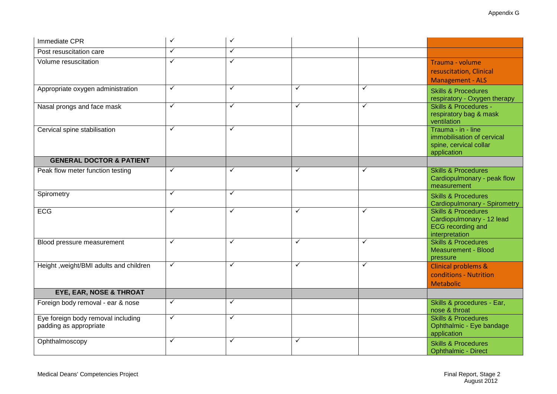| Immediate CPR                                                | $\checkmark$ | $\checkmark$ |              |              |                                                                                                           |
|--------------------------------------------------------------|--------------|--------------|--------------|--------------|-----------------------------------------------------------------------------------------------------------|
| Post resuscitation care                                      | $\checkmark$ | $\checkmark$ |              |              |                                                                                                           |
| Volume resuscitation                                         | $\checkmark$ | $\checkmark$ |              |              | Trauma - volume<br>resuscitation, Clinical<br><b>Management - ALS</b>                                     |
| Appropriate oxygen administration                            | $\checkmark$ | $\checkmark$ | $\checkmark$ | $\checkmark$ | <b>Skills &amp; Procedures</b><br>respiratory - Oxygen therapy                                            |
| Nasal prongs and face mask                                   | $\checkmark$ | $\checkmark$ | $\checkmark$ | $\checkmark$ | <b>Skills &amp; Procedures -</b><br>respiratory bag & mask<br>ventilation                                 |
| Cervical spine stabilisation                                 | ✓            | ✓            |              |              | Trauma - in - line<br>immobilisation of cervical<br>spine, cervical collar<br>application                 |
| <b>GENERAL DOCTOR &amp; PATIENT</b>                          |              |              |              |              |                                                                                                           |
| Peak flow meter function testing                             | $\checkmark$ | $\checkmark$ | $\checkmark$ | $\checkmark$ | <b>Skills &amp; Procedures</b><br>Cardiopulmonary - peak flow<br>measurement                              |
| Spirometry                                                   | ✓            | $\checkmark$ |              |              | <b>Skills &amp; Procedures</b><br>Cardiopulmonary - Spirometry                                            |
| <b>ECG</b>                                                   | $\checkmark$ | $\checkmark$ | $\checkmark$ | $\checkmark$ | <b>Skills &amp; Procedures</b><br>Cardiopulmonary - 12 lead<br><b>ECG</b> recording and<br>interpretation |
| Blood pressure measurement                                   | $\checkmark$ | $\checkmark$ | $\checkmark$ | $\checkmark$ | <b>Skills &amp; Procedures</b><br><b>Measurement - Blood</b><br>pressure                                  |
| Height, weight/BMI adults and children                       | $\checkmark$ | $\checkmark$ | $\checkmark$ | $\checkmark$ | <b>Clinical problems &amp;</b><br>conditions - Nutrition<br><b>Metabolic</b>                              |
| <b>EYE, EAR, NOSE &amp; THROAT</b>                           |              |              |              |              |                                                                                                           |
| Foreign body removal - ear & nose                            | $\checkmark$ | ✓            |              |              | Skills & procedures - Ear,<br>nose & throat                                                               |
| Eye foreign body removal including<br>padding as appropriate | $\checkmark$ | $\checkmark$ |              |              | <b>Skills &amp; Procedures</b><br>Ophthalmic - Eye bandage<br>application                                 |
| Ophthalmoscopy                                               | $\checkmark$ | $\checkmark$ | $\checkmark$ |              | <b>Skills &amp; Procedures</b><br><b>Ophthalmic - Direct</b>                                              |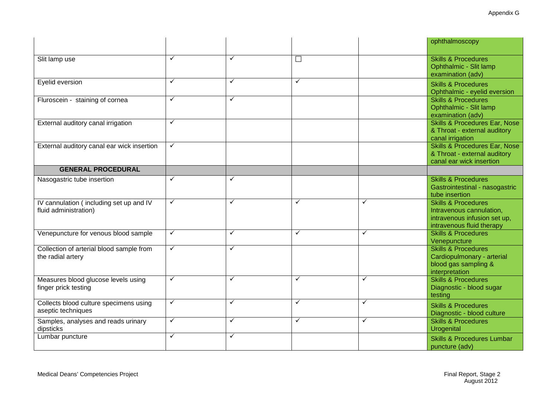|                                                                  |              |              |                         |              | ophthalmoscopy                                                                                                          |
|------------------------------------------------------------------|--------------|--------------|-------------------------|--------------|-------------------------------------------------------------------------------------------------------------------------|
| Slit lamp use                                                    | ✓            | $\checkmark$ | $\Box$                  |              | <b>Skills &amp; Procedures</b><br>Ophthalmic - Slit lamp<br>examination (adv)                                           |
| Eyelid eversion                                                  | ✓            | $\checkmark$ | $\overline{\checkmark}$ |              | <b>Skills &amp; Procedures</b><br>Ophthalmic - eyelid eversion                                                          |
| Fluroscein - staining of cornea                                  | ✓            | $\checkmark$ |                         |              | <b>Skills &amp; Procedures</b><br>Ophthalmic - Slit lamp<br>examination (adv)                                           |
| External auditory canal irrigation                               | ✓            |              |                         |              | <b>Skills &amp; Procedures Ear, Nose</b><br>& Throat - external auditory<br>canal irrigation                            |
| External auditory canal ear wick insertion                       | ✓            |              |                         |              | <b>Skills &amp; Procedures Ear, Nose</b><br>& Throat - external auditory<br>canal ear wick insertion                    |
| <b>GENERAL PROCEDURAL</b>                                        |              |              |                         |              |                                                                                                                         |
| Nasogastric tube insertion                                       | ✓            | $\checkmark$ |                         |              | <b>Skills &amp; Procedures</b><br>Gastrointestinal - nasogastric<br>tube insertion                                      |
| IV cannulation (including set up and IV<br>fluid administration) | ✓            | $\checkmark$ | ✓                       | $\checkmark$ | <b>Skills &amp; Procedures</b><br>Intravenous cannulation,<br>intravenous infusion set up,<br>intravenous fluid therapy |
| Venepuncture for venous blood sample                             | ✓            | $\checkmark$ | $\checkmark$            | $\checkmark$ | <b>Skills &amp; Procedures</b><br>Venepuncture                                                                          |
| Collection of arterial blood sample from<br>the radial artery    | $\checkmark$ | $\checkmark$ |                         |              | <b>Skills &amp; Procedures</b><br>Cardiopulmonary - arterial<br>blood gas sampling &<br>interpretation                  |
| Measures blood glucose levels using<br>finger prick testing      | ✓            | $\checkmark$ | $\checkmark$            | $\checkmark$ | <b>Skills &amp; Procedures</b><br>Diagnostic - blood sugar<br>testing                                                   |
| Collects blood culture specimens using<br>aseptic techniques     | ✓            | $\checkmark$ | $\checkmark$            | $\checkmark$ | <b>Skills &amp; Procedures</b><br>Diagnostic - blood culture                                                            |
| Samples, analyses and reads urinary<br>dipsticks                 | ✓            | $\checkmark$ | $\checkmark$            | $\checkmark$ | <b>Skills &amp; Procedures</b><br>Urogenital                                                                            |
| Lumbar puncture                                                  | ✓            | $\checkmark$ |                         |              | <b>Skills &amp; Procedures Lumbar</b><br>puncture (adv)                                                                 |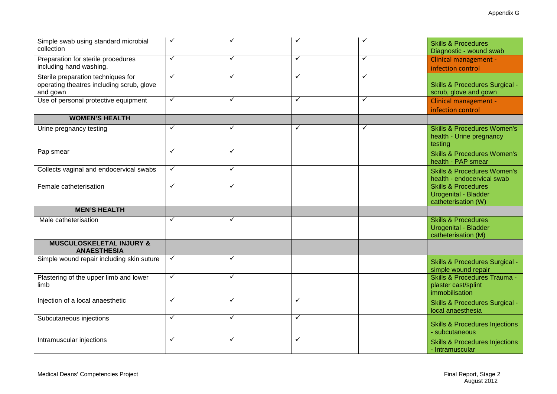| Simple swab using standard microbial<br>collection                                          | ✓            |              |              | ✓            | <b>Skills &amp; Procedures</b><br>Diagnostic - wound swab                            |
|---------------------------------------------------------------------------------------------|--------------|--------------|--------------|--------------|--------------------------------------------------------------------------------------|
| Preparation for sterile procedures<br>including hand washing.                               | $\checkmark$ | $\checkmark$ | $\checkmark$ | $\checkmark$ | Clinical management -<br>infection control                                           |
| Sterile preparation techniques for<br>operating theatres including scrub, glove<br>and gown | $\checkmark$ | ✓            | ✓            | ✓            | <b>Skills &amp; Procedures Surgical -</b><br>scrub, glove and gown                   |
| Use of personal protective equipment                                                        | $\checkmark$ | ✓            | $\checkmark$ | $\checkmark$ | <b>Clinical management -</b><br>infection control                                    |
| <b>WOMEN'S HEALTH</b>                                                                       |              |              |              |              |                                                                                      |
| Urine pregnancy testing                                                                     | ✓            | ✓            | ✓            | $\checkmark$ | <b>Skills &amp; Procedures Women's</b><br>health - Urine pregnancy<br>testing        |
| Pap smear                                                                                   | ✓            | ✓            |              |              | <b>Skills &amp; Procedures Women's</b><br>health - PAP smear                         |
| Collects vaginal and endocervical swabs                                                     | $\checkmark$ | $\checkmark$ |              |              | <b>Skills &amp; Procedures Women's</b><br>health - endocervical swab                 |
| Female catheterisation                                                                      | $\checkmark$ | ✓            |              |              | <b>Skills &amp; Procedures</b><br><b>Urogenital - Bladder</b><br>catheterisation (W) |
| <b>MEN'S HEALTH</b>                                                                         |              |              |              |              |                                                                                      |
| Male catheterisation                                                                        | ✓            | ✓            |              |              | <b>Skills &amp; Procedures</b><br><b>Urogenital - Bladder</b><br>catheterisation (M) |
| <b>MUSCULOSKELETAL INJURY &amp;</b><br><b>ANAESTHESIA</b>                                   |              |              |              |              |                                                                                      |
| Simple wound repair including skin suture                                                   | $\checkmark$ | $\checkmark$ |              |              | <b>Skills &amp; Procedures Surgical -</b><br>simple wound repair                     |
| Plastering of the upper limb and lower<br>limb                                              | $\checkmark$ | $\checkmark$ |              |              | <b>Skills &amp; Procedures Trauma -</b><br>plaster cast/splint<br>immobilisation     |
| Injection of a local anaesthetic                                                            | ✓            | $\checkmark$ | $\checkmark$ |              | <b>Skills &amp; Procedures Surgical -</b><br>local anaesthesia                       |
| Subcutaneous injections                                                                     | ✓            | $\checkmark$ | $\checkmark$ |              | <b>Skills &amp; Procedures Injections</b><br>- subcutaneous                          |
| Intramuscular injections                                                                    | $\checkmark$ | $\checkmark$ | $\checkmark$ |              | <b>Skills &amp; Procedures Injections</b><br>- Intramuscular                         |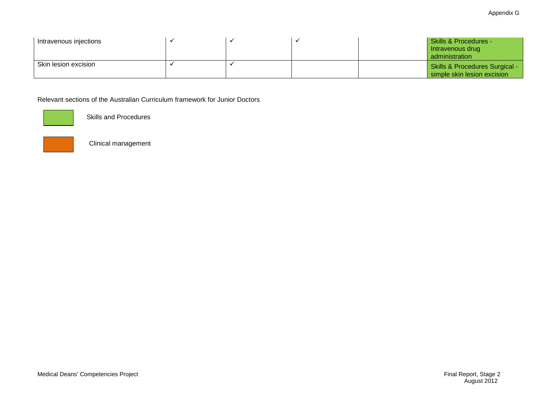| Intravenous injections |  | Skills & Procedures -<br>Intravenous drug<br>administration              |
|------------------------|--|--------------------------------------------------------------------------|
| Skin lesion excision   |  | <b>Skills &amp; Procedures Surgical -</b><br>simple skin lesion excision |

Relevant sections of the Australian Curriculum framework for Junior Doctors



Skills and Procedures



Clinical management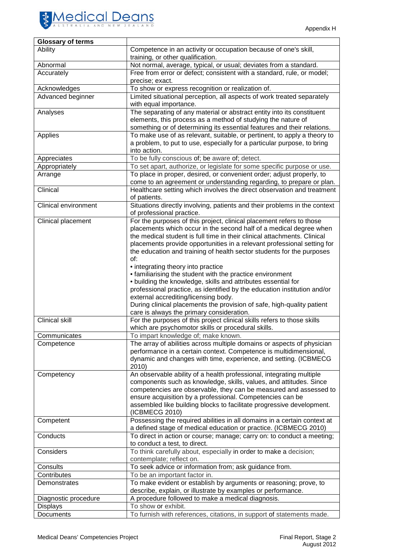

| <b>Glossary of terms</b>    |                                                                                                                                                     |
|-----------------------------|-----------------------------------------------------------------------------------------------------------------------------------------------------|
| Ability                     | Competence in an activity or occupation because of one's skill,<br>training, or other qualification.                                                |
| Abnormal                    | Not normal, average, typical, or usual; deviates from a standard.                                                                                   |
| Accurately                  | Free from error or defect; consistent with a standard, rule, or model;<br>precise; exact.                                                           |
| Acknowledges                | To show or express recognition or realization of.                                                                                                   |
| Advanced beginner           | Limited situational perception, all aspects of work treated separately                                                                              |
|                             | with equal importance.                                                                                                                              |
| Analyses                    | The separating of any material or abstract entity into its constituent<br>elements, this process as a method of studying the nature of              |
| Applies                     | something or of determining its essential features and their relations.<br>To make use of as relevant, suitable, or pertinent, to apply a theory to |
|                             | a problem, to put to use, especially for a particular purpose, to bring<br>into action.                                                             |
| Appreciates                 | To be fully conscious of; be aware of; detect.                                                                                                      |
| Appropriately               | To set apart, authorize, or legislate for some specific purpose or use.                                                                             |
| Arrange                     | To place in proper, desired, or convenient order; adjust properly, to                                                                               |
|                             | come to an agreement or understanding regarding, to prepare or plan.                                                                                |
| Clinical                    | Healthcare setting which involves the direct observation and treatment<br>of patients.                                                              |
| <b>Clinical environment</b> | Situations directly involving, patients and their problems in the context<br>of professional practice.                                              |
| Clinical placement          | For the purposes of this project, clinical placement refers to those                                                                                |
|                             | placements which occur in the second half of a medical degree when                                                                                  |
|                             | the medical student is full time in their clinical attachments. Clinical                                                                            |
|                             | placements provide opportunities in a relevant professional setting for                                                                             |
|                             | the education and training of health sector students for the purposes                                                                               |
|                             | of:<br>• integrating theory into practice                                                                                                           |
|                             | • familiarising the student with the practice environment                                                                                           |
|                             | · building the knowledge, skills and attributes essential for                                                                                       |
|                             | professional practice, as identified by the education institution and/or                                                                            |
|                             | external accrediting/licensing body.                                                                                                                |
|                             | During clinical placements the provision of safe, high-quality patient                                                                              |
|                             | care is always the primary consideration.                                                                                                           |
| <b>Clinical skill</b>       | For the purposes of this project clinical skills refers to those skills                                                                             |
|                             | which are psychomotor skills or procedural skills.                                                                                                  |
| Communicates                | To impart knowledge of; make known.                                                                                                                 |
| Competence                  | The array of abilities across multiple domains or aspects of physician                                                                              |
|                             | performance in a certain context. Competence is multidimensional,                                                                                   |
|                             | dynamic and changes with time, experience, and setting. (ICBMECG                                                                                    |
|                             | 2010)                                                                                                                                               |
| Competency                  | An observable ability of a health professional, integrating multiple                                                                                |
|                             | components such as knowledge, skills, values, and attitudes. Since<br>competencies are observable, they can be measured and assessed to             |
|                             | ensure acquisition by a professional. Competencies can be                                                                                           |
|                             | assembled like building blocks to facilitate progressive development.                                                                               |
|                             | (ICBMECG 2010)                                                                                                                                      |
| Competent                   | Possessing the required abilities in all domains in a certain context at                                                                            |
|                             | a defined stage of medical education or practice. (ICBMECG 2010)                                                                                    |
| Conducts                    | To direct in action or course; manage; carry on: to conduct a meeting;                                                                              |
|                             | to conduct a test, to direct.                                                                                                                       |
| Considers                   | To think carefully about, especially in order to make a decision;<br>contemplate; reflect on.                                                       |
| Consults                    | To seek advice or information from; ask guidance from.                                                                                              |
| Contributes                 | To be an important factor in.                                                                                                                       |
| Demonstrates                | To make evident or establish by arguments or reasoning; prove, to                                                                                   |
|                             | describe, explain, or illustrate by examples or performance.                                                                                        |
| Diagnostic procedure        | A procedure followed to make a medical diagnosis.                                                                                                   |
| <b>Displays</b>             | To show or exhibit.                                                                                                                                 |
| Documents                   | To furnish with references, citations, in support of statements made.                                                                               |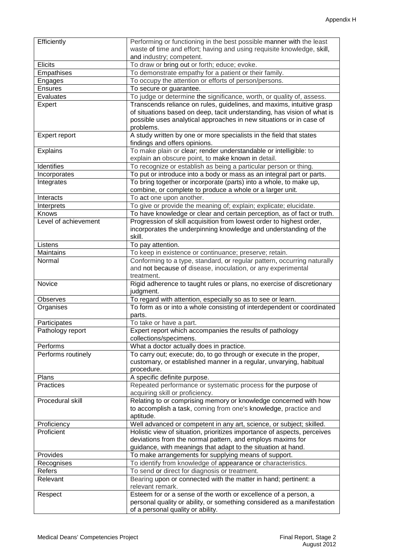| Efficiently           | Performing or functioning in the best possible manner with the least                                                                     |
|-----------------------|------------------------------------------------------------------------------------------------------------------------------------------|
|                       | waste of time and effort; having and using requisite knowledge, skill,                                                                   |
|                       | and industry; competent.                                                                                                                 |
| <b>Elicits</b>        | To draw or bring out or forth; educe; evoke.                                                                                             |
| Empathises<br>Engages | To demonstrate empathy for a patient or their family.<br>To occupy the attention or efforts of person/persons.                           |
| <b>Ensures</b>        |                                                                                                                                          |
| Evaluates             | To secure or guarantee.<br>To judge or determine the significance, worth, or quality of, assess.                                         |
|                       | Transcends reliance on rules, guidelines, and maxims, intuitive grasp                                                                    |
| Expert                | of situations based on deep, tacit understanding, has vision of what is                                                                  |
|                       | possible uses analytical approaches in new situations or in case of                                                                      |
|                       | problems.                                                                                                                                |
| Expert report         | A study written by one or more specialists in the field that states                                                                      |
|                       | findings and offers opinions.                                                                                                            |
| <b>Explains</b>       | To make plain or clear; render understandable or intelligible: to                                                                        |
|                       | explain an obscure point, to make known in detail.                                                                                       |
| Identifies            | To recognize or establish as being a particular person or thing.                                                                         |
| Incorporates          | To put or introduce into a body or mass as an integral part or parts.                                                                    |
| Integrates            | To bring together or incorporate (parts) into a whole, to make up,                                                                       |
|                       | combine, or complete to produce a whole or a larger unit.                                                                                |
| Interacts             | To act one upon another.                                                                                                                 |
| Interprets            | To give or provide the meaning of; explain; explicate; elucidate.                                                                        |
| Knows                 | To have knowledge or clear and certain perception, as of fact or truth.                                                                  |
| Level of achievement  | Progression of skill acquisition from lowest order to highest order,                                                                     |
|                       | incorporates the underpinning knowledge and understanding of the                                                                         |
|                       | skill.                                                                                                                                   |
| Listens               | To pay attention.                                                                                                                        |
| <b>Maintains</b>      | To keep in existence or continuance; preserve; retain.                                                                                   |
| Normal                | Conforming to a type, standard, or regular pattern, occurring naturally                                                                  |
|                       | and not because of disease, inoculation, or any experimental                                                                             |
|                       | treatment.                                                                                                                               |
| Novice                | Rigid adherence to taught rules or plans, no exercise of discretionary<br>judgment.                                                      |
| <b>Observes</b>       | To regard with attention, especially so as to see or learn.                                                                              |
| Organises             | To form as or into a whole consisting of interdependent or coordinated                                                                   |
|                       | parts.                                                                                                                                   |
| Participates          | To take or have a part.                                                                                                                  |
| Pathology report      | Expert report which accompanies the results of pathology                                                                                 |
|                       |                                                                                                                                          |
|                       |                                                                                                                                          |
| Performs              | collections/specimens.                                                                                                                   |
| Performs routinely    | What a doctor actually does in practice.                                                                                                 |
|                       | To carry out; execute; do, to go through or execute in the proper,<br>customary, or established manner in a regular, unvarying, habitual |
|                       | procedure.                                                                                                                               |
| Plans                 | A specific definite purpose.                                                                                                             |
| <b>Practices</b>      | Repeated performance or systematic process for the purpose of                                                                            |
|                       | acquiring skill or proficiency.                                                                                                          |
| Procedural skill      | Relating to or comprising memory or knowledge concerned with how                                                                         |
|                       | to accomplish a task, coming from one's knowledge, practice and                                                                          |
|                       | aptitude.                                                                                                                                |
| Proficiency           | Well advanced or competent in any art, science, or subject; skilled.                                                                     |
| Proficient            | Holistic view of situation, prioritizes importance of aspects, perceives                                                                 |
|                       | deviations from the normal pattern, and employs maxims for                                                                               |
|                       | guidance, with meanings that adapt to the situation at hand.                                                                             |
| Provides              | To make arrangements for supplying means of support.                                                                                     |
| Recognises            | To identify from knowledge of appearance or characteristics.                                                                             |
| Refers                | To send or direct for diagnosis or treatment.                                                                                            |
| Relevant              | Bearing upon or connected with the matter in hand; pertinent: a                                                                          |
|                       | relevant remark.                                                                                                                         |
| Respect               | Esteem for or a sense of the worth or excellence of a person, a                                                                          |
|                       | personal quality or ability, or something considered as a manifestation<br>of a personal quality or ability.                             |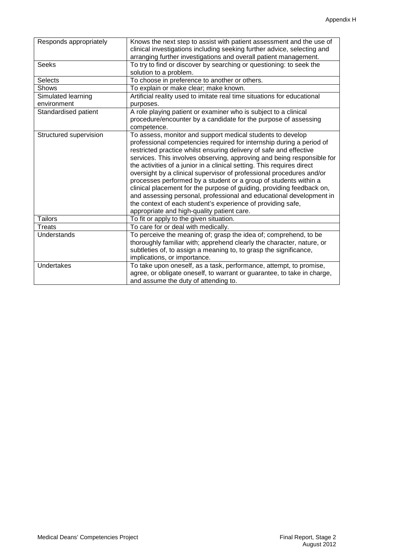| Responds appropriately | Knows the next step to assist with patient assessment and the use of<br>clinical investigations including seeking further advice, selecting and<br>arranging further investigations and overall patient management. |
|------------------------|---------------------------------------------------------------------------------------------------------------------------------------------------------------------------------------------------------------------|
| <b>Seeks</b>           | To try to find or discover by searching or questioning: to seek the                                                                                                                                                 |
|                        | solution to a problem.                                                                                                                                                                                              |
| <b>Selects</b>         | To choose in preference to another or others.                                                                                                                                                                       |
| Shows                  | To explain or make clear; make known.                                                                                                                                                                               |
| Simulated learning     | Artificial reality used to imitate real time situations for educational                                                                                                                                             |
| environment            | purposes.                                                                                                                                                                                                           |
| Standardised patient   | A role playing patient or examiner who is subject to a clinical                                                                                                                                                     |
|                        | procedure/encounter by a candidate for the purpose of assessing<br>competence.                                                                                                                                      |
| Structured supervision | To assess, monitor and support medical students to develop                                                                                                                                                          |
|                        | professional competencies required for internship during a period of                                                                                                                                                |
|                        | restricted practice whilst ensuring delivery of safe and effective                                                                                                                                                  |
|                        | services. This involves observing, approving and being responsible for                                                                                                                                              |
|                        | the activities of a junior in a clinical setting. This requires direct                                                                                                                                              |
|                        | oversight by a clinical supervisor of professional procedures and/or                                                                                                                                                |
|                        | processes performed by a student or a group of students within a                                                                                                                                                    |
|                        | clinical placement for the purpose of guiding, providing feedback on,                                                                                                                                               |
|                        | and assessing personal, professional and educational development in                                                                                                                                                 |
|                        | the context of each student's experience of providing safe,                                                                                                                                                         |
|                        | appropriate and high-quality patient care.                                                                                                                                                                          |
| <b>Tailors</b>         | To fit or apply to the given situation.                                                                                                                                                                             |
| <b>Treats</b>          | To care for or deal with medically.                                                                                                                                                                                 |
| Understands            | To perceive the meaning of; grasp the idea of; comprehend, to be                                                                                                                                                    |
|                        | thoroughly familiar with; apprehend clearly the character, nature, or                                                                                                                                               |
|                        | subtleties of, to assign a meaning to, to grasp the significance,                                                                                                                                                   |
|                        | implications, or importance.                                                                                                                                                                                        |
| Undertakes             | To take upon oneself, as a task, performance, attempt, to promise,                                                                                                                                                  |
|                        | agree, or obligate oneself, to warrant or guarantee, to take in charge,                                                                                                                                             |
|                        | and assume the duty of attending to.                                                                                                                                                                                |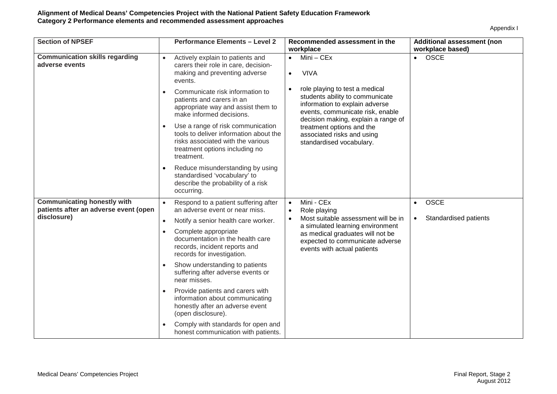| <b>Section of NPSEF</b>                                                     | <b>Performance Elements - Level 2</b>                                                                                                                            | Recommended assessment in the<br>workplace                                                                                                                                                 | Additional assessment (non<br>workplace based) |
|-----------------------------------------------------------------------------|------------------------------------------------------------------------------------------------------------------------------------------------------------------|--------------------------------------------------------------------------------------------------------------------------------------------------------------------------------------------|------------------------------------------------|
| <b>Communication skills regarding</b><br>adverse events                     | Actively explain to patients and<br>$\bullet$<br>carers their role in care, decision-<br>making and preventing adverse<br>events.                                | $Mini - CEx$<br>$\bullet$<br><b>VIVA</b><br>$\bullet$                                                                                                                                      | • OSCE                                         |
|                                                                             | Communicate risk information to<br>patients and carers in an<br>appropriate way and assist them to<br>make informed decisions.                                   | role playing to test a medical<br>students ability to communicate<br>information to explain adverse<br>events, communicate risk, enable                                                    |                                                |
|                                                                             | Use a range of risk communication<br>tools to deliver information about the<br>risks associated with the various<br>treatment options including no<br>treatment. | decision making, explain a range of<br>treatment options and the<br>associated risks and using<br>standardised vocabulary.                                                                 |                                                |
|                                                                             | Reduce misunderstanding by using<br>$\bullet$<br>standardised 'vocabulary' to<br>describe the probability of a risk<br>occurring.                                |                                                                                                                                                                                            |                                                |
| <b>Communicating honestly with</b><br>patients after an adverse event (open | Respond to a patient suffering after<br>an adverse event or near miss.                                                                                           | Mini - CEx<br>$\bullet$                                                                                                                                                                    | <b>OSCE</b><br>$\bullet$                       |
| disclosure)                                                                 | Role playing<br>Notify a senior health care worker.<br>$\bullet$                                                                                                 | Most suitable assessment will be in<br>$\bullet$<br>a simulated learning environment<br>as medical graduates will not be<br>expected to communicate adverse<br>events with actual patients | Standardised patients                          |
|                                                                             | Complete appropriate<br>$\bullet$<br>documentation in the health care<br>records, incident reports and<br>records for investigation.                             |                                                                                                                                                                                            |                                                |
|                                                                             | Show understanding to patients<br>$\bullet$<br>suffering after adverse events or<br>near misses.                                                                 |                                                                                                                                                                                            |                                                |
|                                                                             | Provide patients and carers with<br>information about communicating<br>honestly after an adverse event<br>(open disclosure).                                     |                                                                                                                                                                                            |                                                |
|                                                                             | Comply with standards for open and<br>honest communication with patients.                                                                                        |                                                                                                                                                                                            |                                                |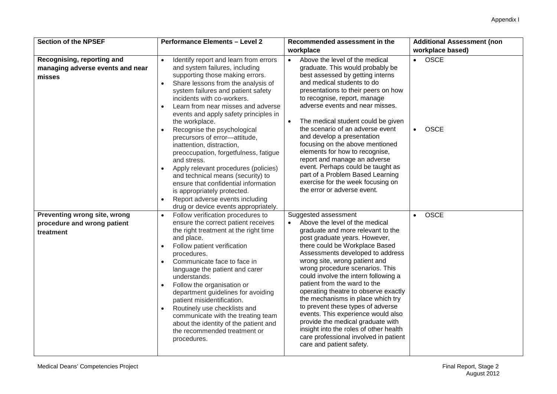| <b>Section of the NPSEF</b>                                              | <b>Performance Elements - Level 2</b>                                                                                                                                                                                                                                                                                                                                                                                                                                                                                                                                                                                                                                                                                                                         | Recommended assessment in the                                                                                                                                                                                                                                                                                                                                                                                                                                                                                                                                                                                                                              | <b>Additional Assessment (non</b>                    |
|--------------------------------------------------------------------------|---------------------------------------------------------------------------------------------------------------------------------------------------------------------------------------------------------------------------------------------------------------------------------------------------------------------------------------------------------------------------------------------------------------------------------------------------------------------------------------------------------------------------------------------------------------------------------------------------------------------------------------------------------------------------------------------------------------------------------------------------------------|------------------------------------------------------------------------------------------------------------------------------------------------------------------------------------------------------------------------------------------------------------------------------------------------------------------------------------------------------------------------------------------------------------------------------------------------------------------------------------------------------------------------------------------------------------------------------------------------------------------------------------------------------------|------------------------------------------------------|
|                                                                          |                                                                                                                                                                                                                                                                                                                                                                                                                                                                                                                                                                                                                                                                                                                                                               | workplace                                                                                                                                                                                                                                                                                                                                                                                                                                                                                                                                                                                                                                                  | workplace based)                                     |
| Recognising, reporting and<br>managing adverse events and near<br>misses | Identify report and learn from errors<br>$\bullet$<br>and system failures, including<br>supporting those making errors.<br>Share lessons from the analysis of<br>$\bullet$<br>system failures and patient safety<br>incidents with co-workers.<br>Learn from near misses and adverse<br>$\bullet$<br>events and apply safety principles in<br>the workplace.<br>Recognise the psychological<br>precursors of error-attitude,<br>inattention, distraction,<br>preoccupation, forgetfulness, fatigue<br>and stress.<br>Apply relevant procedures (policies)<br>and technical means (security) to<br>ensure that confidential information<br>is appropriately protected.<br>Report adverse events including<br>$\bullet$<br>drug or device events appropriately. | Above the level of the medical<br>$\bullet$<br>graduate. This would probably be<br>best assessed by getting interns<br>and medical students to do<br>presentations to their peers on how<br>to recognise, report, manage<br>adverse events and near misses.<br>The medical student could be given<br>the scenario of an adverse event<br>and develop a presentation<br>focusing on the above mentioned<br>elements for how to recognise,<br>report and manage an adverse<br>event. Perhaps could be taught as<br>part of a Problem Based Learning<br>exercise for the week focusing on<br>the error or adverse event.                                      | <b>OSCE</b><br>$\bullet$<br><b>OSCE</b><br>$\bullet$ |
| Preventing wrong site, wrong<br>procedure and wrong patient<br>treatment | Follow verification procedures to<br>$\bullet$<br>ensure the correct patient receives<br>the right treatment at the right time<br>and place.<br>Follow patient verification<br>$\bullet$<br>procedures.<br>Communicate face to face in<br>language the patient and carer<br>understands.<br>Follow the organisation or<br>$\bullet$<br>department guidelines for avoiding<br>patient misidentification.<br>Routinely use checklists and<br>$\bullet$<br>communicate with the treating team<br>about the identity of the patient and<br>the recommended treatment or<br>procedures.                                                                                                                                                                            | Suggested assessment<br>Above the level of the medical<br>graduate and more relevant to the<br>post graduate years. However,<br>there could be Workplace Based<br>Assessments developed to address<br>wrong site, wrong patient and<br>wrong procedure scenarios. This<br>could involve the intern following a<br>patient from the ward to the<br>operating theatre to observe exactly<br>the mechanisms in place which try<br>to prevent these types of adverse<br>events. This experience would also<br>provide the medical graduate with<br>insight into the roles of other health<br>care professional involved in patient<br>care and patient safety. | <b>OSCE</b><br>$\bullet$                             |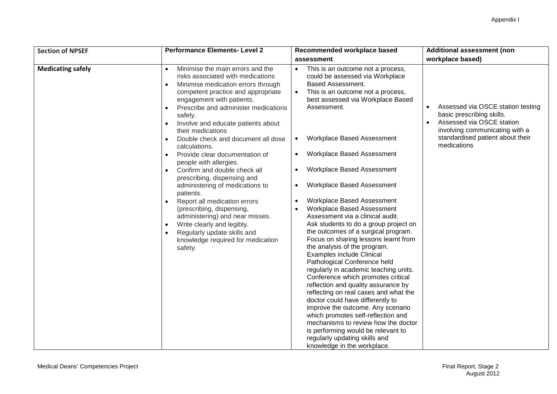| <b>Section of NPSEF</b>  | <b>Performance Elements- Level 2</b>                                                                                                                                                                                                                                                                                                                                                                                                                                                                                                                                                                                                                                                                                                                                                                                                                | Recommended workplace based                                                                                                                                                                                                                                                                                                                                                                                                                                                                                                                                                                                                                                                                                                                                                                                                                                                                                                                                                                                                                                                                                                  | <b>Additional assessment (non</b>                                                                                                                                                |
|--------------------------|-----------------------------------------------------------------------------------------------------------------------------------------------------------------------------------------------------------------------------------------------------------------------------------------------------------------------------------------------------------------------------------------------------------------------------------------------------------------------------------------------------------------------------------------------------------------------------------------------------------------------------------------------------------------------------------------------------------------------------------------------------------------------------------------------------------------------------------------------------|------------------------------------------------------------------------------------------------------------------------------------------------------------------------------------------------------------------------------------------------------------------------------------------------------------------------------------------------------------------------------------------------------------------------------------------------------------------------------------------------------------------------------------------------------------------------------------------------------------------------------------------------------------------------------------------------------------------------------------------------------------------------------------------------------------------------------------------------------------------------------------------------------------------------------------------------------------------------------------------------------------------------------------------------------------------------------------------------------------------------------|----------------------------------------------------------------------------------------------------------------------------------------------------------------------------------|
|                          |                                                                                                                                                                                                                                                                                                                                                                                                                                                                                                                                                                                                                                                                                                                                                                                                                                                     | assessment                                                                                                                                                                                                                                                                                                                                                                                                                                                                                                                                                                                                                                                                                                                                                                                                                                                                                                                                                                                                                                                                                                                   | workplace based)                                                                                                                                                                 |
| <b>Medicating safely</b> | Minimise the main errors and the<br>$\bullet$<br>risks associated with medications<br>Minimise medication errors through<br>$\bullet$<br>competent practice and appropriate<br>engagement with patients.<br>Prescribe and administer medications<br>$\bullet$<br>safely.<br>Involve and educate patients about<br>$\bullet$<br>their medications<br>Double check and document all dose<br>$\bullet$<br>calculations.<br>Provide clear documentation of<br>$\bullet$<br>people with allergies.<br>Confirm and double check all<br>$\bullet$<br>prescribing, dispensing and<br>administering of medications to<br>patients.<br>Report all medication errors<br>$\bullet$<br>(prescribing, dispensing,<br>administering) and near misses.<br>Write clearly and legibly.<br>Regularly update skills and<br>knowledge required for medication<br>safety. | This is an outcome not a process,<br>$\bullet$<br>could be assessed via Workplace<br><b>Based Assessment.</b><br>$\bullet$<br>This is an outcome not a process,<br>best assessed via Workplace Based<br>Assessment.<br>Workplace Based Assessment<br>$\bullet$<br>Workplace Based Assessment<br>Workplace Based Assessment<br>Workplace Based Assessment<br>$\bullet$<br>Workplace Based Assessment<br>Workplace Based Assessment<br>Assessment via a clinical audit.<br>Ask students to do a group project on<br>the outcomes of a surgical program.<br>Focus on sharing lessons learnt from<br>the analysis of the program.<br><b>Examples include Clinical</b><br>Pathological Conference held<br>regularly in academic teaching units.<br>Conference which promotes critical<br>reflection and quality assurance by<br>reflecting on real cases and what the<br>doctor could have differently to<br>improve the outcome. Any scenario<br>which promotes self-reflection and<br>mechanisms to review how the doctor<br>is performing would be relevant to<br>regularly updating skills and<br>knowledge in the workplace. | Assessed via OSCE station testing<br>basic prescribing skills.<br>Assessed via OSCE station<br>involving communicating with a<br>standardised patient about their<br>medications |